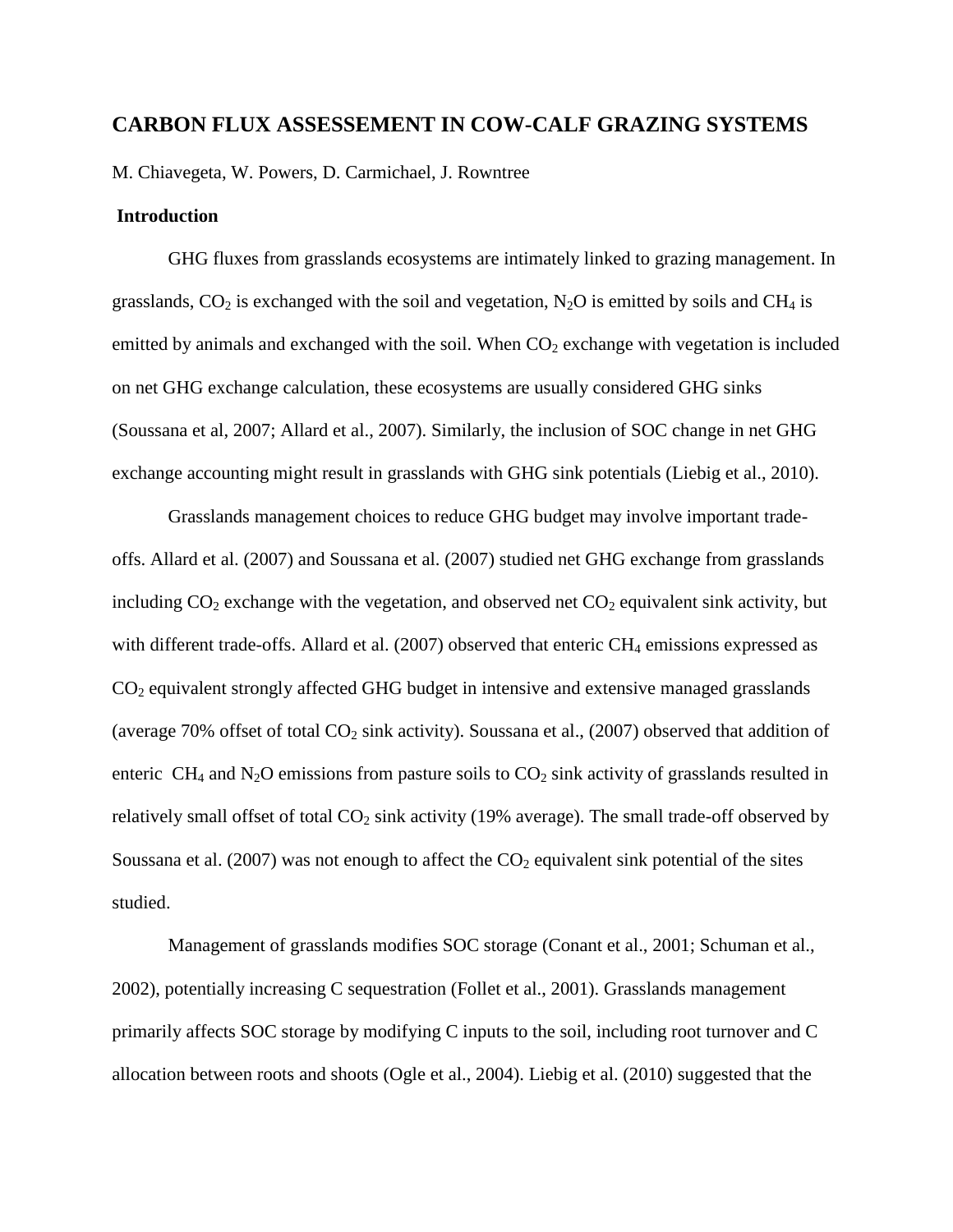# **CARBON FLUX ASSESSEMENT IN COW-CALF GRAZING SYSTEMS**

M. Chiavegeta, W. Powers, D. Carmichael, J. Rowntree

# **Introduction**

GHG fluxes from grasslands ecosystems are intimately linked to grazing management. In grasslands,  $CO_2$  is exchanged with the soil and vegetation, N<sub>2</sub>O is emitted by soils and CH<sub>4</sub> is emitted by animals and exchanged with the soil. When  $CO<sub>2</sub>$  exchange with vegetation is included on net GHG exchange calculation, these ecosystems are usually considered GHG sinks (Soussana et al, 2007; Allard et al., 2007). Similarly, the inclusion of SOC change in net GHG exchange accounting might result in grasslands with GHG sink potentials (Liebig et al., 2010).

Grasslands management choices to reduce GHG budget may involve important tradeoffs. Allard et al. (2007) and Soussana et al. (2007) studied net GHG exchange from grasslands including  $CO_2$  exchange with the vegetation, and observed net  $CO_2$  equivalent sink activity, but with different trade-offs. Allard et al.  $(2007)$  observed that enteric CH<sub>4</sub> emissions expressed as CO<sup>2</sup> equivalent strongly affected GHG budget in intensive and extensive managed grasslands (average 70% offset of total  $CO<sub>2</sub>$  sink activity). Soussana et al., (2007) observed that addition of enteric  $CH_4$  and  $N_2O$  emissions from pasture soils to  $CO_2$  sink activity of grasslands resulted in relatively small offset of total  $CO_2$  sink activity (19% average). The small trade-off observed by Soussana et al. (2007) was not enough to affect the  $CO<sub>2</sub>$  equivalent sink potential of the sites studied.

Management of grasslands modifies SOC storage (Conant et al., 2001; Schuman et al., 2002), potentially increasing C sequestration (Follet et al., 2001). Grasslands management primarily affects SOC storage by modifying C inputs to the soil, including root turnover and C allocation between roots and shoots (Ogle et al., 2004). Liebig et al. (2010) suggested that the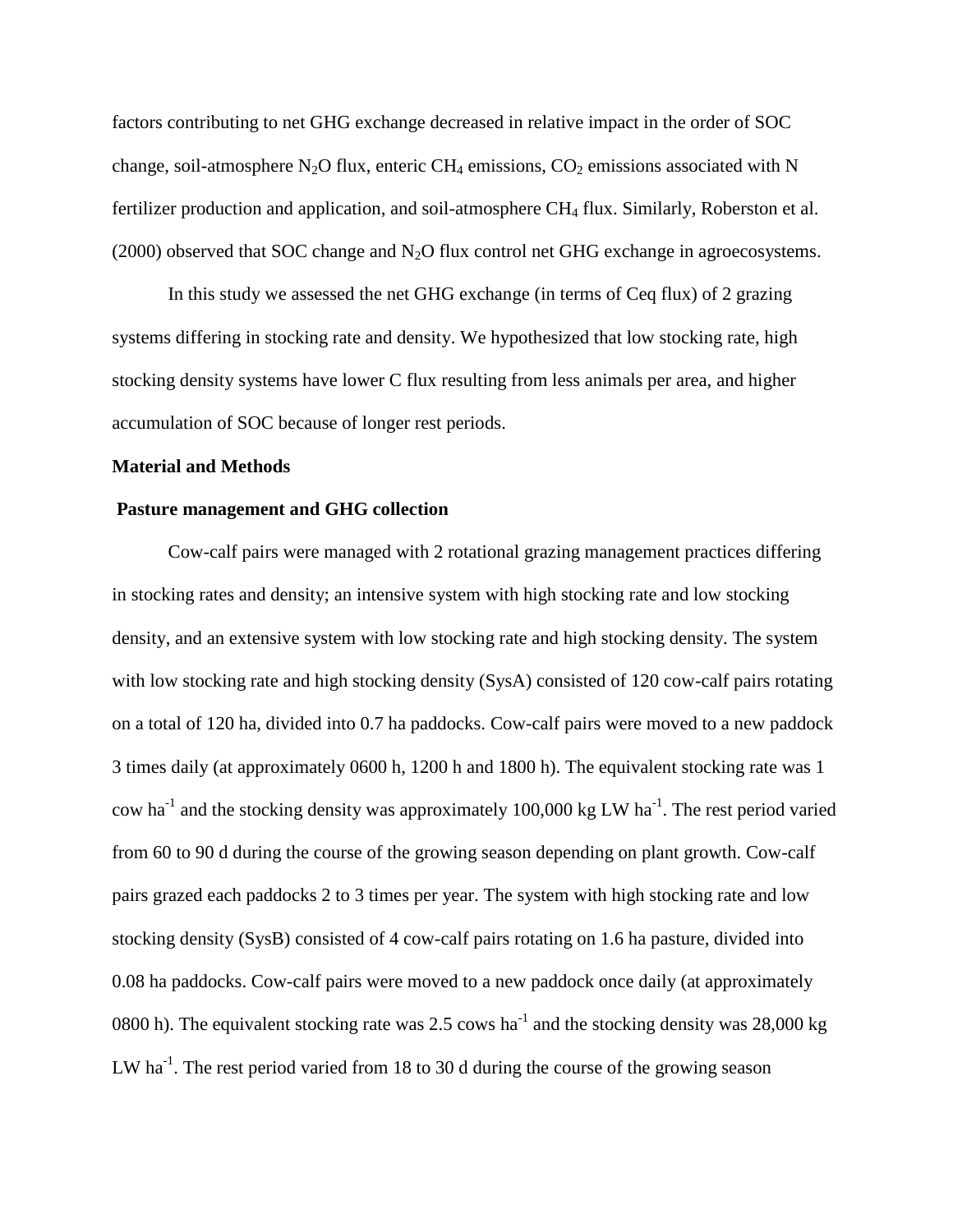factors contributing to net GHG exchange decreased in relative impact in the order of SOC change, soil-atmosphere N<sub>2</sub>O flux, enteric CH<sub>4</sub> emissions, CO<sub>2</sub> emissions associated with N fertilizer production and application, and soil-atmosphere CH<sub>4</sub> flux. Similarly, Roberston et al.  $(2000)$  observed that SOC change and N<sub>2</sub>O flux control net GHG exchange in agroecosystems.

In this study we assessed the net GHG exchange (in terms of Ceq flux) of 2 grazing systems differing in stocking rate and density. We hypothesized that low stocking rate, high stocking density systems have lower C flux resulting from less animals per area, and higher accumulation of SOC because of longer rest periods.

### **Material and Methods**

# **Pasture management and GHG collection**

Cow-calf pairs were managed with 2 rotational grazing management practices differing in stocking rates and density; an intensive system with high stocking rate and low stocking density, and an extensive system with low stocking rate and high stocking density. The system with low stocking rate and high stocking density (SysA) consisted of 120 cow-calf pairs rotating on a total of 120 ha, divided into 0.7 ha paddocks. Cow-calf pairs were moved to a new paddock 3 times daily (at approximately 0600 h, 1200 h and 1800 h). The equivalent stocking rate was 1 cow ha<sup>-1</sup> and the stocking density was approximately 100,000 kg LW ha<sup>-1</sup>. The rest period varied from 60 to 90 d during the course of the growing season depending on plant growth. Cow-calf pairs grazed each paddocks 2 to 3 times per year. The system with high stocking rate and low stocking density (SysB) consisted of 4 cow-calf pairs rotating on 1.6 ha pasture, divided into 0.08 ha paddocks. Cow-calf pairs were moved to a new paddock once daily (at approximately 0800 h). The equivalent stocking rate was 2.5 cows ha<sup>-1</sup> and the stocking density was 28,000 kg LW ha<sup>-1</sup>. The rest period varied from 18 to 30 d during the course of the growing season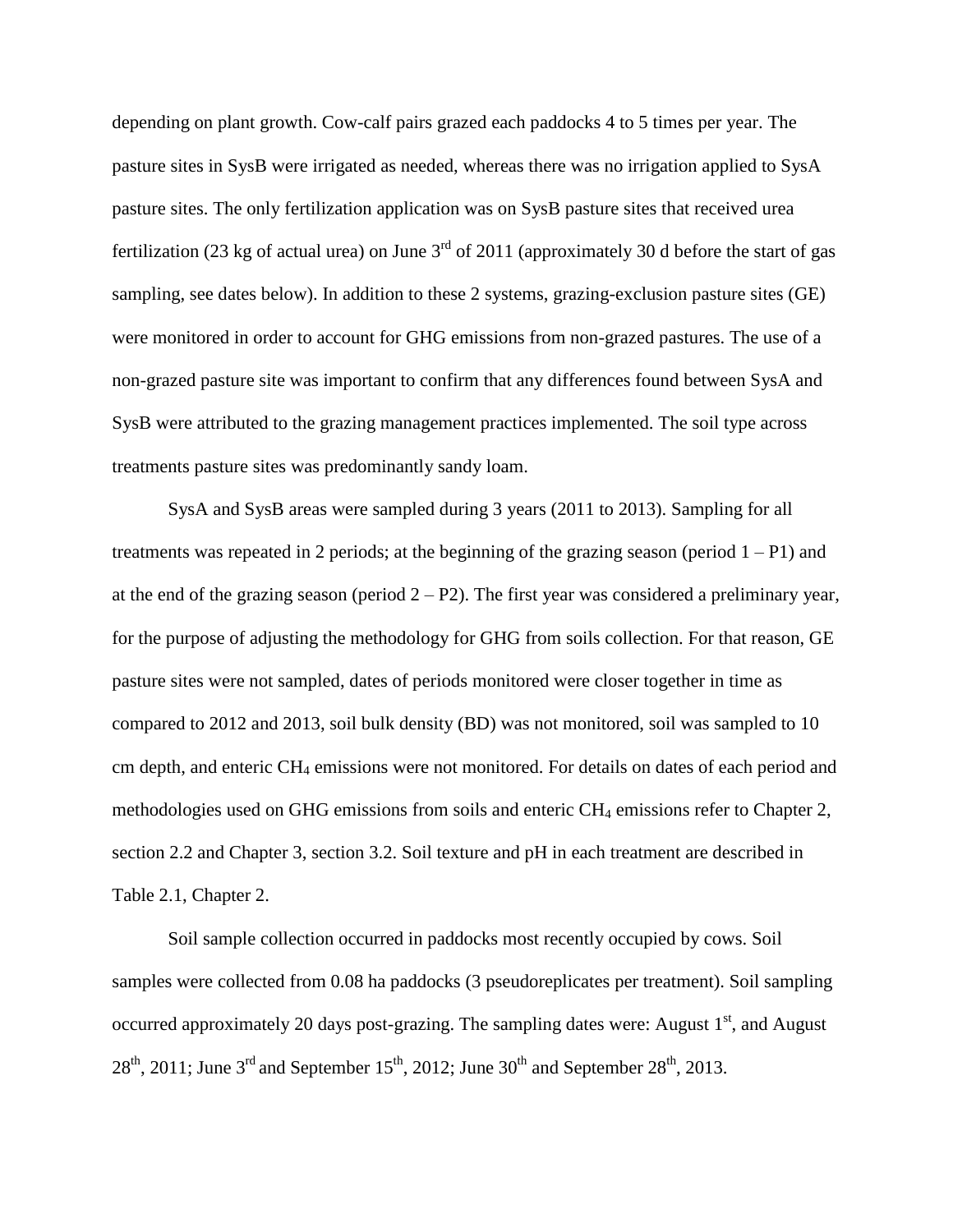depending on plant growth. Cow-calf pairs grazed each paddocks 4 to 5 times per year. The pasture sites in SysB were irrigated as needed, whereas there was no irrigation applied to SysA pasture sites. The only fertilization application was on SysB pasture sites that received urea fertilization (23 kg of actual urea) on June  $3<sup>rd</sup>$  of 2011 (approximately 30 d before the start of gas sampling, see dates below). In addition to these 2 systems, grazing-exclusion pasture sites (GE) were monitored in order to account for GHG emissions from non-grazed pastures. The use of a non-grazed pasture site was important to confirm that any differences found between SysA and SysB were attributed to the grazing management practices implemented. The soil type across treatments pasture sites was predominantly sandy loam.

SysA and SysB areas were sampled during 3 years (2011 to 2013). Sampling for all treatments was repeated in 2 periods; at the beginning of the grazing season (period  $1 - P1$ ) and at the end of the grazing season (period  $2 - P2$ ). The first year was considered a preliminary year, for the purpose of adjusting the methodology for GHG from soils collection. For that reason, GE pasture sites were not sampled, dates of periods monitored were closer together in time as compared to 2012 and 2013, soil bulk density (BD) was not monitored, soil was sampled to 10 cm depth, and enteric CH<sup>4</sup> emissions were not monitored. For details on dates of each period and methodologies used on GHG emissions from soils and enteric  $CH_4$  emissions refer to Chapter 2, section 2.2 and Chapter 3, section 3.2. Soil texture and pH in each treatment are described in Table 2.1, Chapter 2.

Soil sample collection occurred in paddocks most recently occupied by cows. Soil samples were collected from 0.08 ha paddocks (3 pseudoreplicates per treatment). Soil sampling occurred approximately 20 days post-grazing. The sampling dates were: August  $1<sup>st</sup>$ , and August  $28<sup>th</sup>$ , 2011; June 3<sup>rd</sup> and September 15<sup>th</sup>, 2012; June 30<sup>th</sup> and September 28<sup>th</sup>, 2013.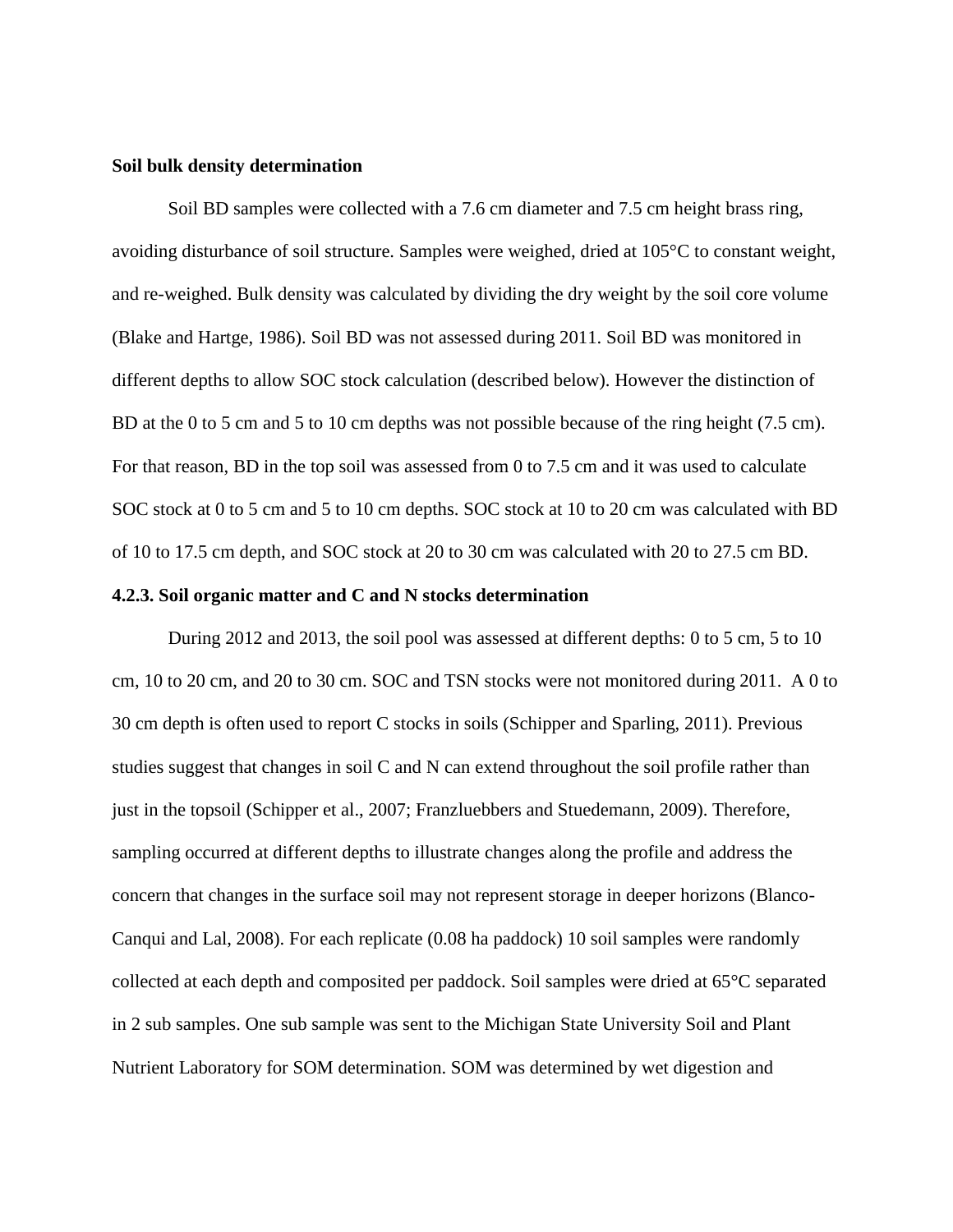### **Soil bulk density determination**

Soil BD samples were collected with a 7.6 cm diameter and 7.5 cm height brass ring, avoiding disturbance of soil structure. Samples were weighed, dried at 105°C to constant weight, and re-weighed. Bulk density was calculated by dividing the dry weight by the soil core volume (Blake and Hartge, 1986). Soil BD was not assessed during 2011. Soil BD was monitored in different depths to allow SOC stock calculation (described below). However the distinction of BD at the 0 to 5 cm and 5 to 10 cm depths was not possible because of the ring height (7.5 cm). For that reason, BD in the top soil was assessed from 0 to 7.5 cm and it was used to calculate SOC stock at 0 to 5 cm and 5 to 10 cm depths. SOC stock at 10 to 20 cm was calculated with BD of 10 to 17.5 cm depth, and SOC stock at 20 to 30 cm was calculated with 20 to 27.5 cm BD.

### **4.2.3. Soil organic matter and C and N stocks determination**

During 2012 and 2013, the soil pool was assessed at different depths: 0 to 5 cm, 5 to 10 cm, 10 to 20 cm, and 20 to 30 cm. SOC and TSN stocks were not monitored during 2011. A 0 to 30 cm depth is often used to report C stocks in soils (Schipper and Sparling, 2011). Previous studies suggest that changes in soil C and N can extend throughout the soil profile rather than just in the topsoil (Schipper et al., 2007; Franzluebbers and Stuedemann, 2009). Therefore, sampling occurred at different depths to illustrate changes along the profile and address the concern that changes in the surface soil may not represent storage in deeper horizons (Blanco-Canqui and Lal, 2008). For each replicate (0.08 ha paddock) 10 soil samples were randomly collected at each depth and composited per paddock. Soil samples were dried at 65°C separated in 2 sub samples. One sub sample was sent to the Michigan State University Soil and Plant Nutrient Laboratory for SOM determination. SOM was determined by wet digestion and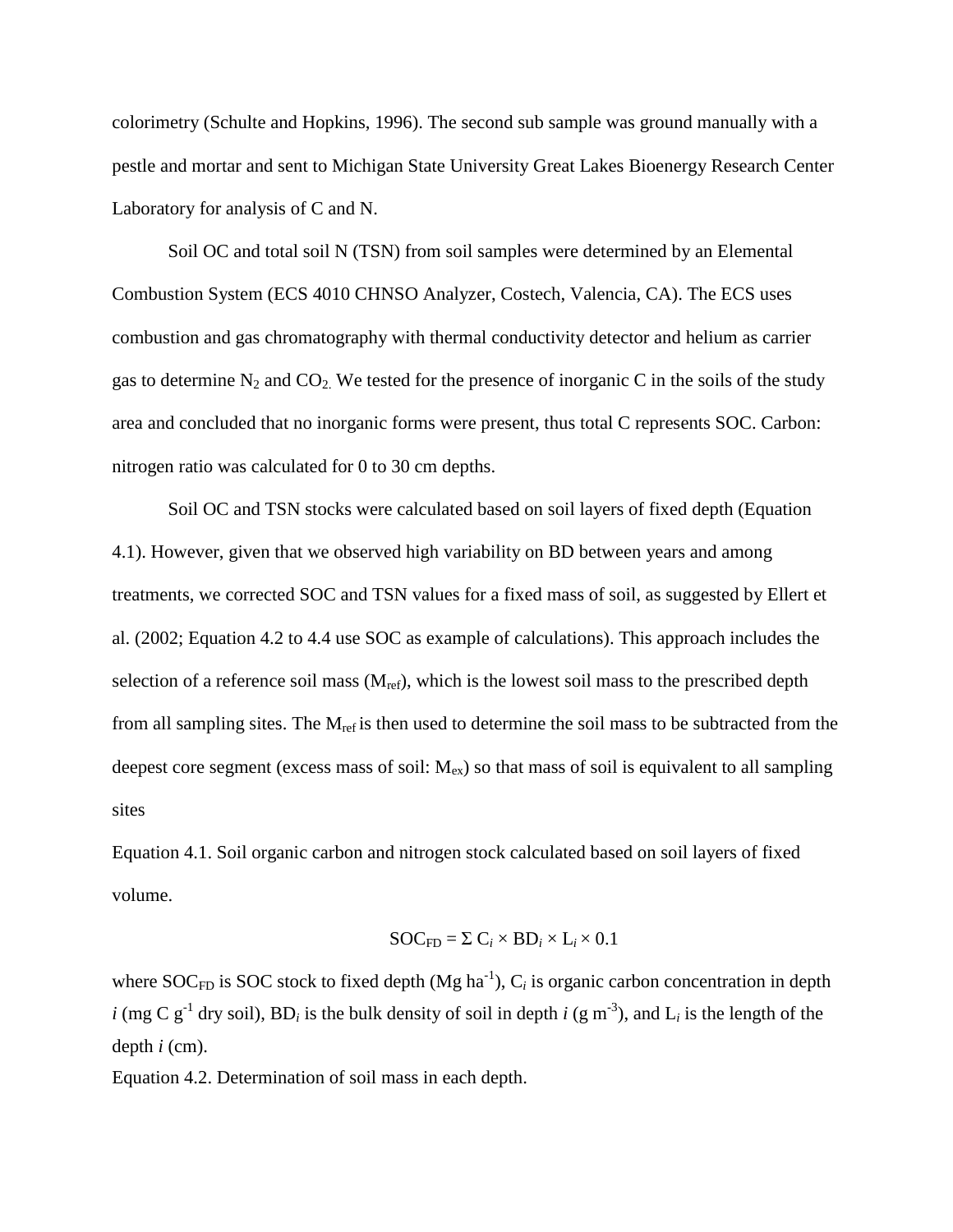colorimetry (Schulte and Hopkins, 1996). The second sub sample was ground manually with a pestle and mortar and sent to Michigan State University Great Lakes Bioenergy Research Center Laboratory for analysis of C and N.

Soil OC and total soil N (TSN) from soil samples were determined by an Elemental Combustion System (ECS 4010 CHNSO Analyzer, Costech, Valencia, CA). The ECS uses combustion and gas chromatography with thermal conductivity detector and helium as carrier gas to determine  $N_2$  and  $CO_2$ . We tested for the presence of inorganic C in the soils of the study area and concluded that no inorganic forms were present, thus total C represents SOC. Carbon: nitrogen ratio was calculated for 0 to 30 cm depths.

Soil OC and TSN stocks were calculated based on soil layers of fixed depth (Equation 4.1). However, given that we observed high variability on BD between years and among treatments, we corrected SOC and TSN values for a fixed mass of soil, as suggested by Ellert et al. (2002; Equation 4.2 to 4.4 use SOC as example of calculations). This approach includes the selection of a reference soil mass  $(M_{ref})$ , which is the lowest soil mass to the prescribed depth from all sampling sites. The  $M_{ref}$  is then used to determine the soil mass to be subtracted from the deepest core segment (excess mass of soil:  $M_{ex}$ ) so that mass of soil is equivalent to all sampling sites

Equation 4.1. Soil organic carbon and nitrogen stock calculated based on soil layers of fixed volume.

$$
SOC_{FD} = \Sigma C_i \times BD_i \times L_i \times 0.1
$$

where SOC<sub>FD</sub> is SOC stock to fixed depth (Mg ha<sup>-1</sup>),  $C_i$  is organic carbon concentration in depth *i* (mg C  $g^{-1}$  dry soil), BD<sub>*i*</sub> is the bulk density of soil in depth *i* (g m<sup>-3</sup>), and L<sub>*i*</sub> is the length of the depth *i* (cm).

Equation 4.2. Determination of soil mass in each depth.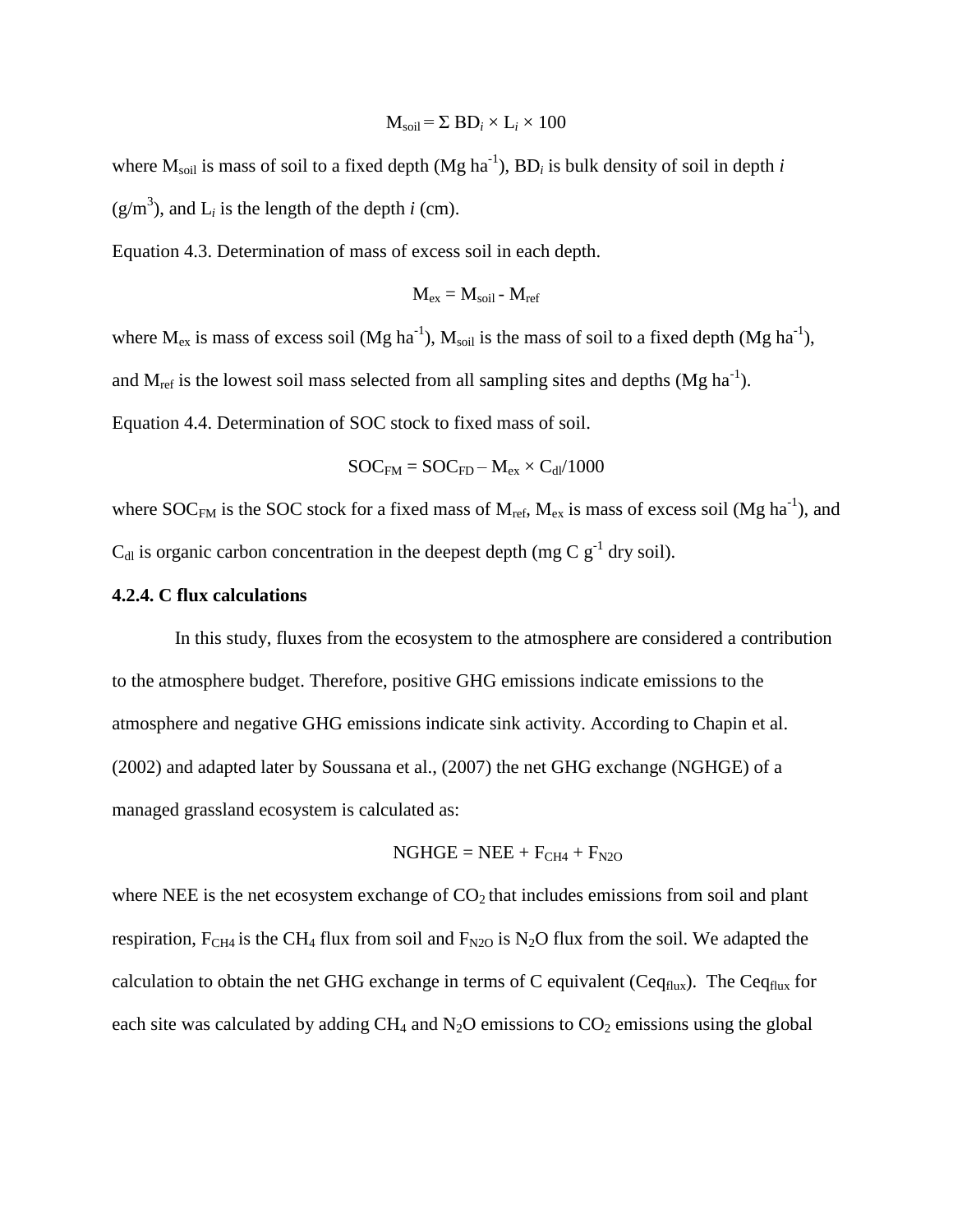$$
M_{\text{soil}} = \Sigma BD_i \times L_i \times 100
$$

where  $M_{\text{solid}}$  is mass of soil to a fixed depth (Mg ha<sup>-1</sup>), BD<sub>*i*</sub> is bulk density of soil in depth *i*  $(g/m<sup>3</sup>)$ , and  $L<sub>i</sub>$  is the length of the depth *i* (cm).

Equation 4.3. Determination of mass of excess soil in each depth.

$$
M_{ex} = M_{soil} - M_{ref}
$$

where  $M_{ex}$  is mass of excess soil (Mg ha<sup>-1</sup>),  $M_{soil}$  is the mass of soil to a fixed depth (Mg ha<sup>-1</sup>), and  $M_{ref}$  is the lowest soil mass selected from all sampling sites and depths (Mg ha<sup>-1</sup>).

Equation 4.4. Determination of SOC stock to fixed mass of soil.

$$
SOC_{FM} = SOC_{FD} - M_{ex} \times C_{dl}/1000
$$

where SOC<sub>FM</sub> is the SOC stock for a fixed mass of  $M_{ref}$ ,  $M_{ex}$  is mass of excess soil (Mg ha<sup>-1</sup>), and  $C_{dl}$  is organic carbon concentration in the deepest depth (mg C  $g^{-1}$  dry soil).

### **4.2.4. C flux calculations**

In this study, fluxes from the ecosystem to the atmosphere are considered a contribution to the atmosphere budget. Therefore, positive GHG emissions indicate emissions to the atmosphere and negative GHG emissions indicate sink activity. According to Chapin et al. (2002) and adapted later by Soussana et al., (2007) the net GHG exchange (NGHGE) of a managed grassland ecosystem is calculated as:

$$
NGHGE = NEE + F_{CH4} + F_{N2O}
$$

where NEE is the net ecosystem exchange of  $CO<sub>2</sub>$  that includes emissions from soil and plant respiration,  $F_{CH4}$  is the CH<sub>4</sub> flux from soil and  $F_{N2O}$  is N<sub>2</sub>O flux from the soil. We adapted the calculation to obtain the net GHG exchange in terms of C equivalent ( $Ceq_{flux}$ ). The  $Ceq_{flux}$  for each site was calculated by adding  $CH_4$  and  $N_2O$  emissions to  $CO_2$  emissions using the global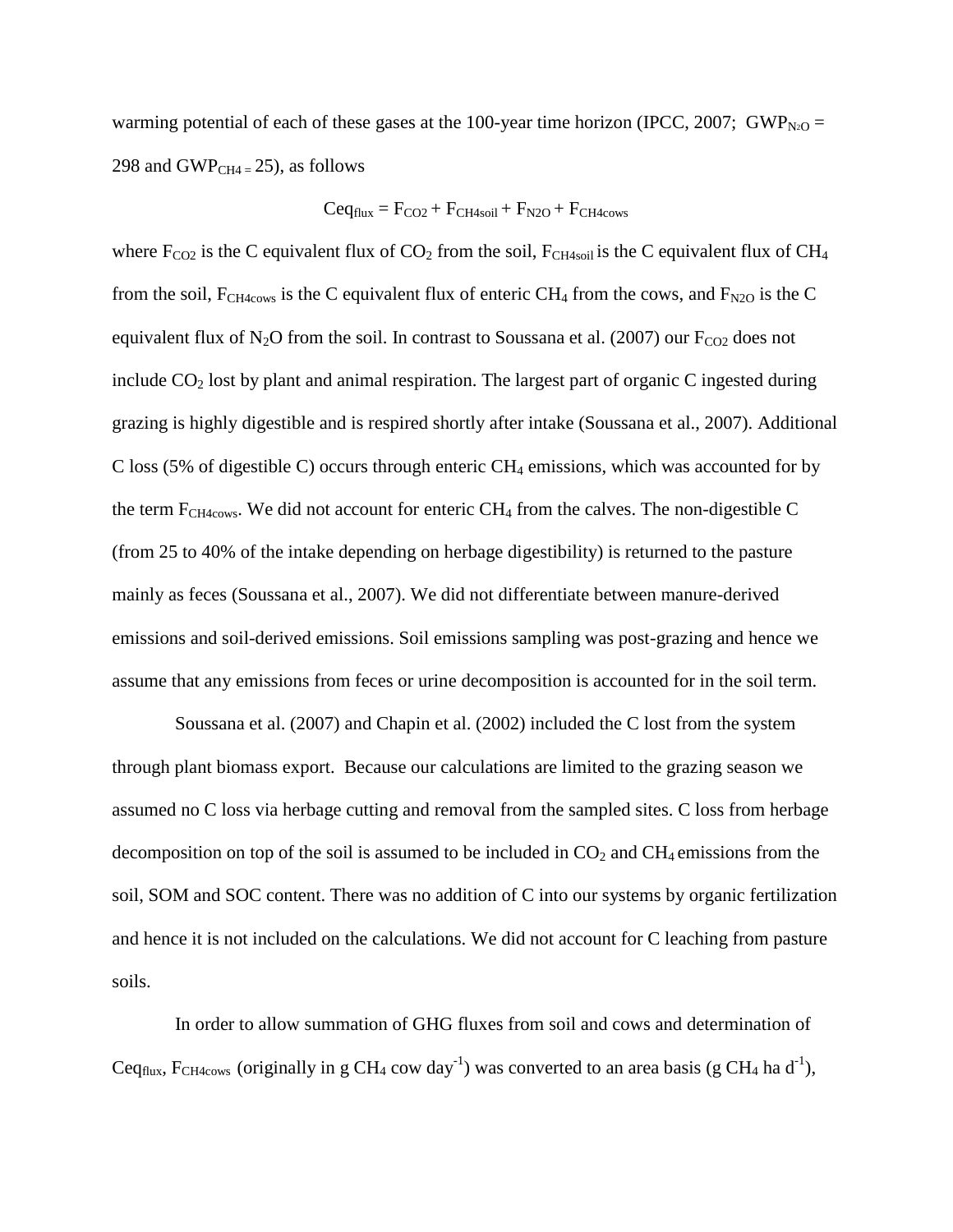warming potential of each of these gases at the 100-year time horizon (IPCC, 2007; GWP<sub>N2O</sub> = 298 and GWP $_{CH4=}$  25), as follows

# $Ceq_{flux} = F_{CO2} + F_{CH4soil} + F_{N2O} + F_{CH4cows}$

where  $F_{CO2}$  is the C equivalent flux of  $CO_2$  from the soil,  $F_{CH4soil}$  is the C equivalent flux of CH<sub>4</sub> from the soil,  $F_{CH4cows}$  is the C equivalent flux of enteric CH<sub>4</sub> from the cows, and  $F_{N2O}$  is the C equivalent flux of N<sub>2</sub>O from the soil. In contrast to Soussana et al. (2007) our  $F_{CO2}$  does not include  $CO<sub>2</sub>$  lost by plant and animal respiration. The largest part of organic C ingested during grazing is highly digestible and is respired shortly after intake (Soussana et al., 2007). Additional C loss (5% of digestible C) occurs through enteric  $CH_4$  emissions, which was accounted for by the term  $F_{CH4cows}$ . We did not account for enteric  $CH_4$  from the calves. The non-digestible C (from 25 to 40% of the intake depending on herbage digestibility) is returned to the pasture mainly as feces (Soussana et al., 2007). We did not differentiate between manure-derived emissions and soil-derived emissions. Soil emissions sampling was post-grazing and hence we assume that any emissions from feces or urine decomposition is accounted for in the soil term.

Soussana et al. (2007) and Chapin et al. (2002) included the C lost from the system through plant biomass export. Because our calculations are limited to the grazing season we assumed no C loss via herbage cutting and removal from the sampled sites. C loss from herbage decomposition on top of the soil is assumed to be included in  $CO<sub>2</sub>$  and  $CH<sub>4</sub>$  emissions from the soil, SOM and SOC content. There was no addition of C into our systems by organic fertilization and hence it is not included on the calculations. We did not account for C leaching from pasture soils.

In order to allow summation of GHG fluxes from soil and cows and determination of Ceq<sub>flux</sub>, F<sub>CH4cows</sub> (originally in g CH<sub>4</sub> cow day<sup>-1</sup>) was converted to an area basis (g CH<sub>4</sub> ha d<sup>-1</sup>),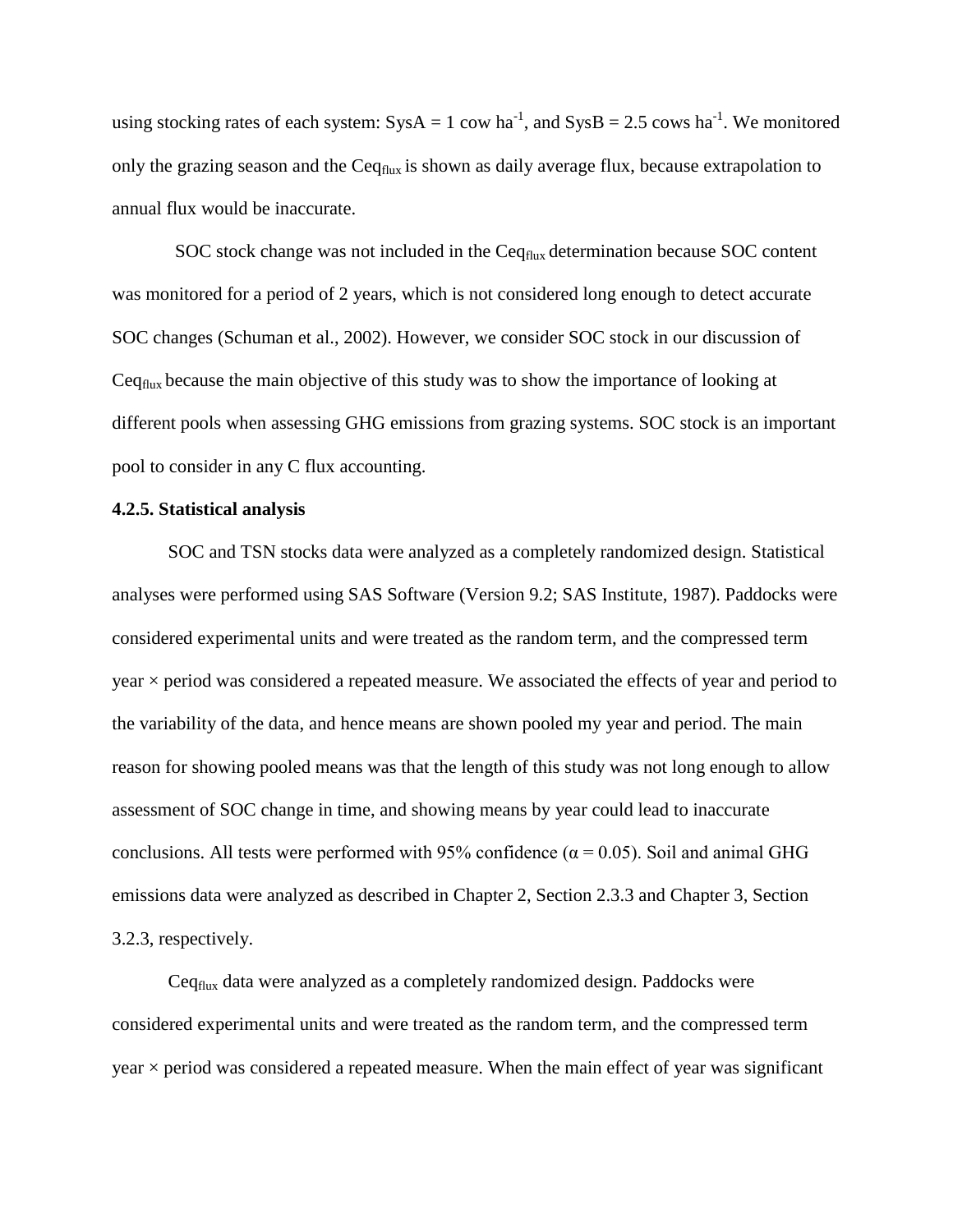using stocking rates of each system:  $SysA = 1$  cow ha<sup>-1</sup>, and  $SysB = 2.5$  cows ha<sup>-1</sup>. We monitored only the grazing season and the  $Ceq_{flux}$  is shown as daily average flux, because extrapolation to annual flux would be inaccurate.

SOC stock change was not included in the Ceq<sub>flux</sub> determination because SOC content was monitored for a period of 2 years, which is not considered long enough to detect accurate SOC changes (Schuman et al., 2002). However, we consider SOC stock in our discussion of Ceqflux because the main objective of this study was to show the importance of looking at different pools when assessing GHG emissions from grazing systems. SOC stock is an important pool to consider in any C flux accounting.

# **4.2.5. Statistical analysis**

SOC and TSN stocks data were analyzed as a completely randomized design. Statistical analyses were performed using SAS Software (Version 9.2; SAS Institute, 1987). Paddocks were considered experimental units and were treated as the random term, and the compressed term  $year \times period$  was considered a repeated measure. We associated the effects of year and period to the variability of the data, and hence means are shown pooled my year and period. The main reason for showing pooled means was that the length of this study was not long enough to allow assessment of SOC change in time, and showing means by year could lead to inaccurate conclusions. All tests were performed with 95% confidence ( $\alpha$  = 0.05). Soil and animal GHG emissions data were analyzed as described in Chapter 2, Section 2.3.3 and Chapter 3, Section 3.2.3, respectively.

Ceqflux data were analyzed as a completely randomized design. Paddocks were considered experimental units and were treated as the random term, and the compressed term  $year \times period$  was considered a repeated measure. When the main effect of year was significant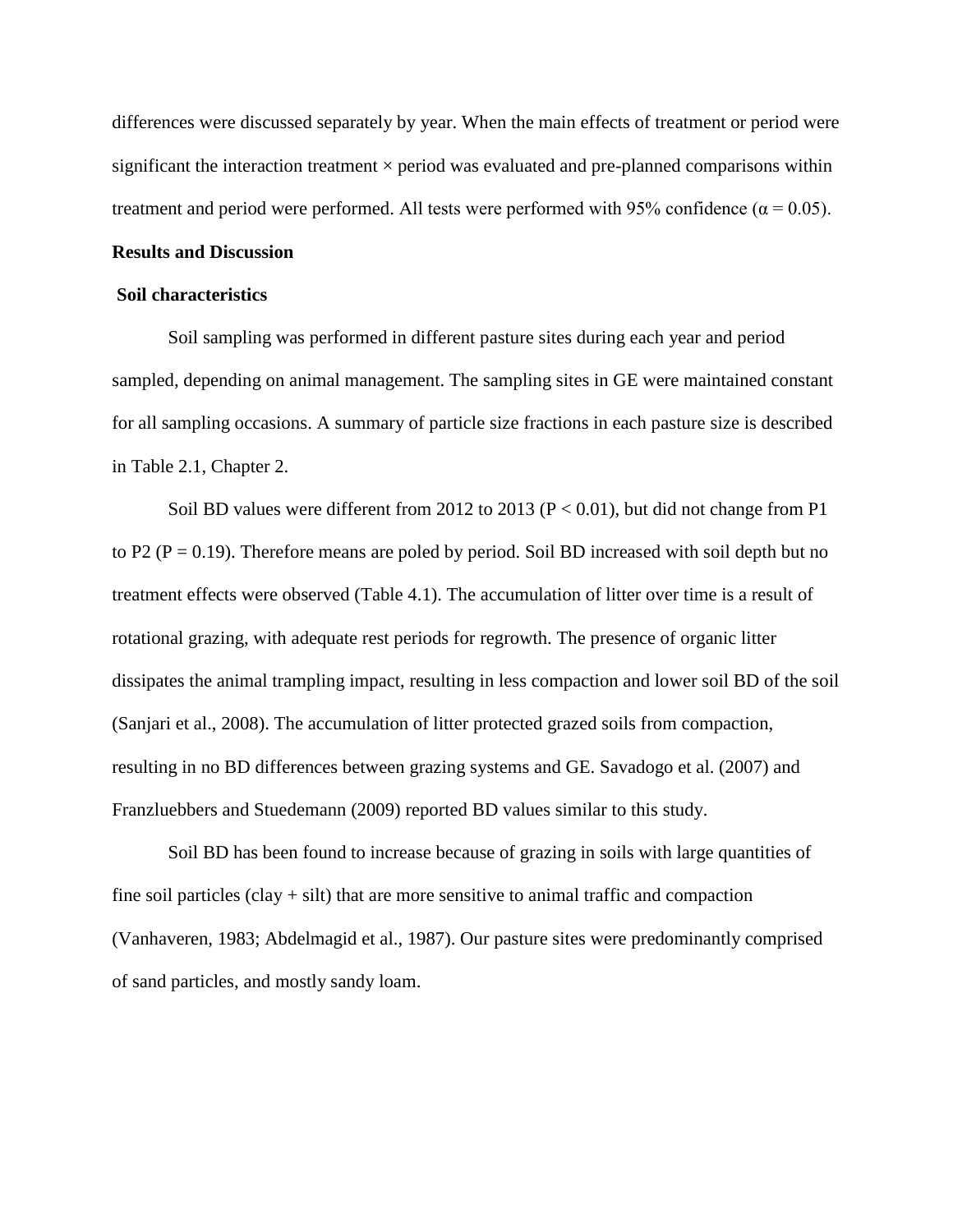differences were discussed separately by year. When the main effects of treatment or period were significant the interaction treatment  $\times$  period was evaluated and pre-planned comparisons within treatment and period were performed. All tests were performed with 95% confidence ( $\alpha$  = 0.05).

#### **Results and Discussion**

### **Soil characteristics**

Soil sampling was performed in different pasture sites during each year and period sampled, depending on animal management. The sampling sites in GE were maintained constant for all sampling occasions. A summary of particle size fractions in each pasture size is described in Table 2.1, Chapter 2.

Soil BD values were different from 2012 to 2013 ( $P < 0.01$ ), but did not change from P1 to P2 ( $P = 0.19$ ). Therefore means are poled by period. Soil BD increased with soil depth but no treatment effects were observed (Table 4.1). The accumulation of litter over time is a result of rotational grazing, with adequate rest periods for regrowth. The presence of organic litter dissipates the animal trampling impact, resulting in less compaction and lower soil BD of the soil (Sanjari et al., 2008). The accumulation of litter protected grazed soils from compaction, resulting in no BD differences between grazing systems and GE. Savadogo et al. (2007) and Franzluebbers and Stuedemann (2009) reported BD values similar to this study.

Soil BD has been found to increase because of grazing in soils with large quantities of fine soil particles  $(clay + silt)$  that are more sensitive to animal traffic and compaction (Vanhaveren, 1983; Abdelmagid et al., 1987). Our pasture sites were predominantly comprised of sand particles, and mostly sandy loam.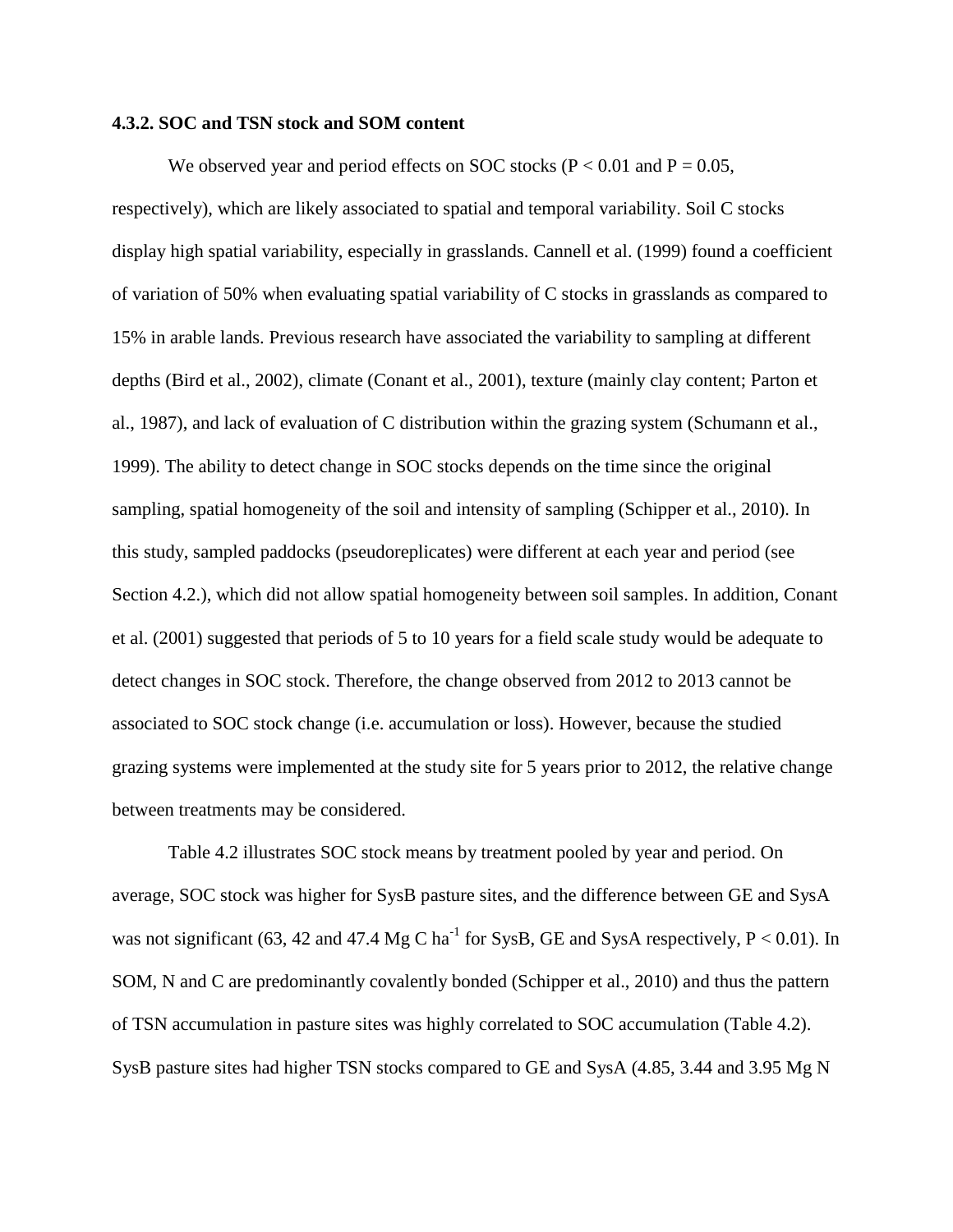# **4.3.2. SOC and TSN stock and SOM content**

We observed year and period effects on SOC stocks ( $P < 0.01$  and  $P = 0.05$ , respectively), which are likely associated to spatial and temporal variability. Soil C stocks display high spatial variability, especially in grasslands. Cannell et al. (1999) found a coefficient of variation of 50% when evaluating spatial variability of C stocks in grasslands as compared to 15% in arable lands. Previous research have associated the variability to sampling at different depths (Bird et al., 2002), climate (Conant et al., 2001), texture (mainly clay content; Parton et al., 1987), and lack of evaluation of C distribution within the grazing system (Schumann et al., 1999). The ability to detect change in SOC stocks depends on the time since the original sampling, spatial homogeneity of the soil and intensity of sampling (Schipper et al., 2010). In this study, sampled paddocks (pseudoreplicates) were different at each year and period (see Section 4.2.), which did not allow spatial homogeneity between soil samples. In addition, Conant et al. (2001) suggested that periods of 5 to 10 years for a field scale study would be adequate to detect changes in SOC stock. Therefore, the change observed from 2012 to 2013 cannot be associated to SOC stock change (i.e. accumulation or loss). However, because the studied grazing systems were implemented at the study site for 5 years prior to 2012, the relative change between treatments may be considered.

Table 4.2 illustrates SOC stock means by treatment pooled by year and period. On average, SOC stock was higher for SysB pasture sites, and the difference between GE and SysA was not significant (63, 42 and 47.4 Mg C ha<sup>-1</sup> for SysB, GE and SysA respectively,  $P < 0.01$ ). In SOM, N and C are predominantly covalently bonded (Schipper et al., 2010) and thus the pattern of TSN accumulation in pasture sites was highly correlated to SOC accumulation (Table 4.2). SysB pasture sites had higher TSN stocks compared to GE and SysA (4.85, 3.44 and 3.95 Mg N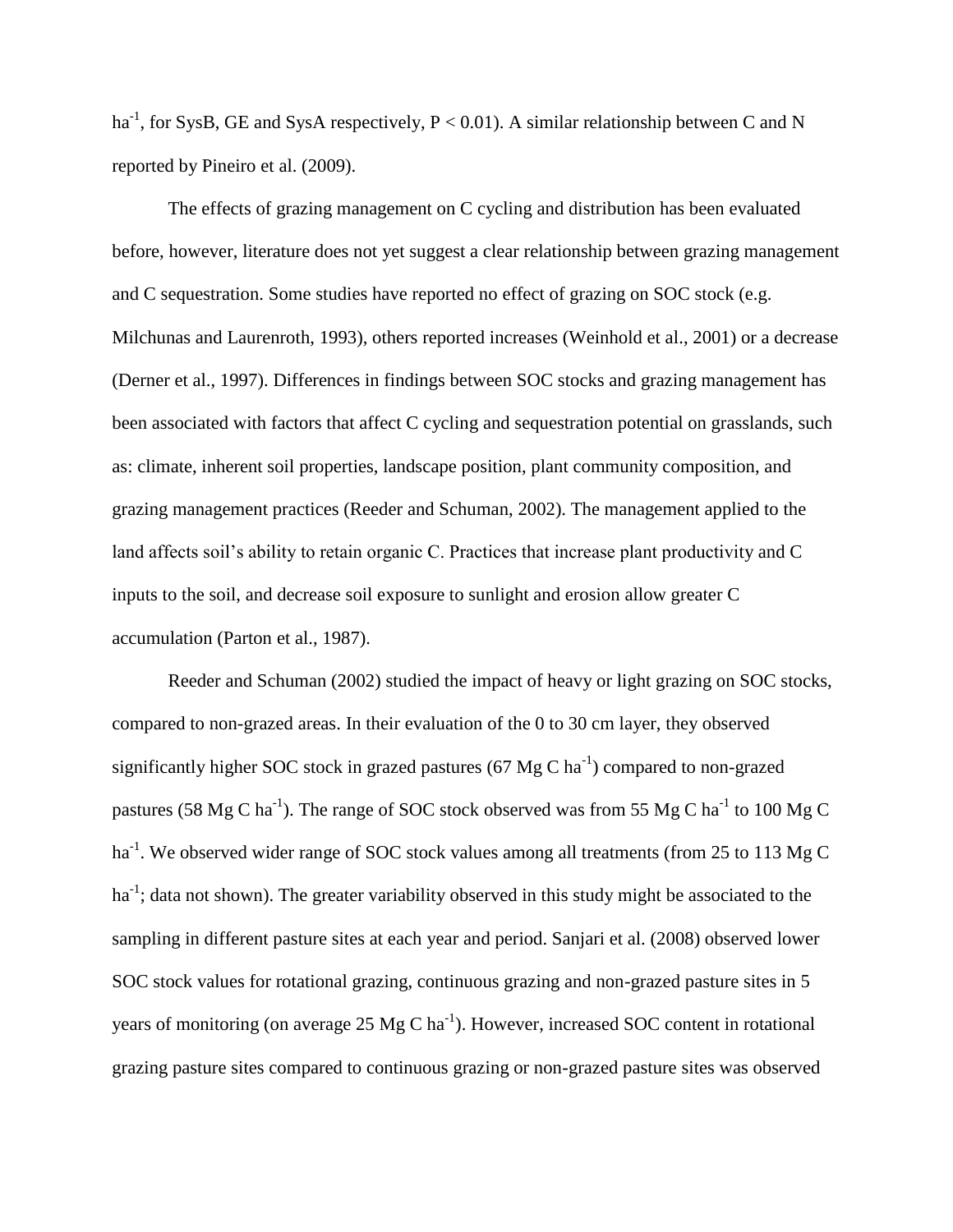ha<sup>-1</sup>, for SysB, GE and SysA respectively,  $P < 0.01$ ). A similar relationship between C and N reported by Pineiro et al. (2009).

The effects of grazing management on C cycling and distribution has been evaluated before, however, literature does not yet suggest a clear relationship between grazing management and C sequestration. Some studies have reported no effect of grazing on SOC stock (e.g. Milchunas and Laurenroth, 1993), others reported increases (Weinhold et al., 2001) or a decrease (Derner et al., 1997). Differences in findings between SOC stocks and grazing management has been associated with factors that affect C cycling and sequestration potential on grasslands, such as: climate, inherent soil properties, landscape position, plant community composition, and grazing management practices (Reeder and Schuman, 2002). The management applied to the land affects soil's ability to retain organic C. Practices that increase plant productivity and C inputs to the soil, and decrease soil exposure to sunlight and erosion allow greater C accumulation (Parton et al., 1987).

Reeder and Schuman (2002) studied the impact of heavy or light grazing on SOC stocks, compared to non-grazed areas. In their evaluation of the 0 to 30 cm layer, they observed significantly higher SOC stock in grazed pastures (67 Mg C ha<sup>-1</sup>) compared to non-grazed pastures (58 Mg C ha<sup>-1</sup>). The range of SOC stock observed was from 55 Mg C ha<sup>-1</sup> to 100 Mg C ha<sup>-1</sup>. We observed wider range of SOC stock values among all treatments (from 25 to 113 Mg C ha<sup>-1</sup>; data not shown). The greater variability observed in this study might be associated to the sampling in different pasture sites at each year and period. Sanjari et al. (2008) observed lower SOC stock values for rotational grazing, continuous grazing and non-grazed pasture sites in 5 years of monitoring (on average 25 Mg C ha<sup>-1</sup>). However, increased SOC content in rotational grazing pasture sites compared to continuous grazing or non-grazed pasture sites was observed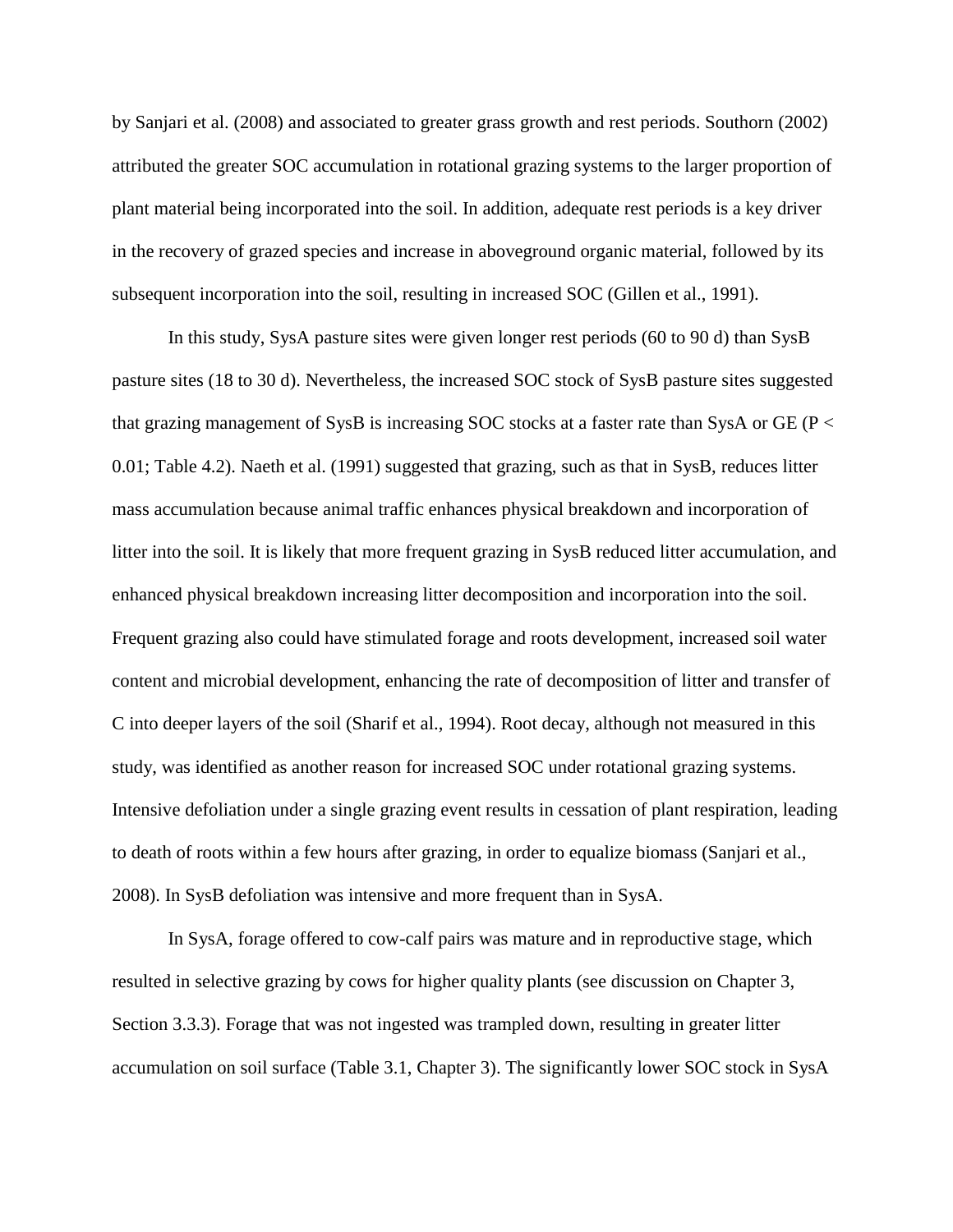by Sanjari et al. (2008) and associated to greater grass growth and rest periods. Southorn (2002) attributed the greater SOC accumulation in rotational grazing systems to the larger proportion of plant material being incorporated into the soil. In addition, adequate rest periods is a key driver in the recovery of grazed species and increase in aboveground organic material, followed by its subsequent incorporation into the soil, resulting in increased SOC (Gillen et al., 1991).

In this study, SysA pasture sites were given longer rest periods (60 to 90 d) than SysB pasture sites (18 to 30 d). Nevertheless, the increased SOC stock of SysB pasture sites suggested that grazing management of SysB is increasing SOC stocks at a faster rate than SysA or GE ( $P <$ 0.01; Table 4.2). Naeth et al. (1991) suggested that grazing, such as that in SysB, reduces litter mass accumulation because animal traffic enhances physical breakdown and incorporation of litter into the soil. It is likely that more frequent grazing in SysB reduced litter accumulation, and enhanced physical breakdown increasing litter decomposition and incorporation into the soil. Frequent grazing also could have stimulated forage and roots development, increased soil water content and microbial development, enhancing the rate of decomposition of litter and transfer of C into deeper layers of the soil (Sharif et al., 1994). Root decay, although not measured in this study, was identified as another reason for increased SOC under rotational grazing systems. Intensive defoliation under a single grazing event results in cessation of plant respiration, leading to death of roots within a few hours after grazing, in order to equalize biomass (Sanjari et al., 2008). In SysB defoliation was intensive and more frequent than in SysA.

In SysA, forage offered to cow-calf pairs was mature and in reproductive stage, which resulted in selective grazing by cows for higher quality plants (see discussion on Chapter 3, Section 3.3.3). Forage that was not ingested was trampled down, resulting in greater litter accumulation on soil surface (Table 3.1, Chapter 3). The significantly lower SOC stock in SysA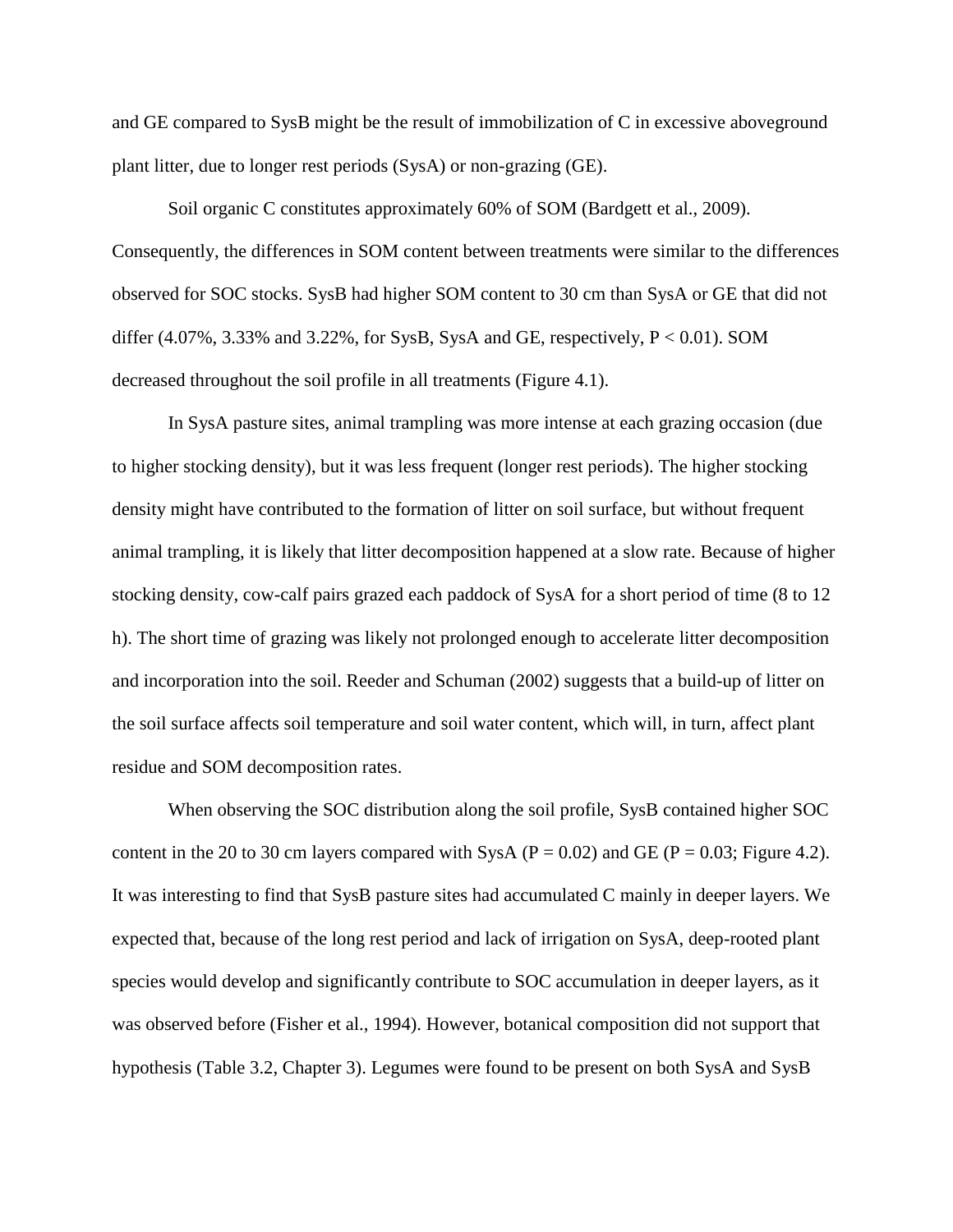and GE compared to SysB might be the result of immobilization of C in excessive aboveground plant litter, due to longer rest periods (SysA) or non-grazing (GE).

Soil organic C constitutes approximately 60% of SOM (Bardgett et al., 2009). Consequently, the differences in SOM content between treatments were similar to the differences observed for SOC stocks. SysB had higher SOM content to 30 cm than SysA or GE that did not differ  $(4.07\%, 3.33\%$  and  $3.22\%,$  for SysB, SysA and GE, respectively, P < 0.01). SOM decreased throughout the soil profile in all treatments (Figure 4.1).

In SysA pasture sites, animal trampling was more intense at each grazing occasion (due to higher stocking density), but it was less frequent (longer rest periods). The higher stocking density might have contributed to the formation of litter on soil surface, but without frequent animal trampling, it is likely that litter decomposition happened at a slow rate. Because of higher stocking density, cow-calf pairs grazed each paddock of SysA for a short period of time (8 to 12 h). The short time of grazing was likely not prolonged enough to accelerate litter decomposition and incorporation into the soil. Reeder and Schuman (2002) suggests that a build-up of litter on the soil surface affects soil temperature and soil water content, which will, in turn, affect plant residue and SOM decomposition rates.

When observing the SOC distribution along the soil profile, SysB contained higher SOC content in the 20 to 30 cm layers compared with SysA ( $P = 0.02$ ) and GE ( $P = 0.03$ ; Figure 4.2). It was interesting to find that SysB pasture sites had accumulated C mainly in deeper layers. We expected that, because of the long rest period and lack of irrigation on SysA, deep-rooted plant species would develop and significantly contribute to SOC accumulation in deeper layers, as it was observed before (Fisher et al., 1994). However, botanical composition did not support that hypothesis (Table 3.2, Chapter 3). Legumes were found to be present on both SysA and SysB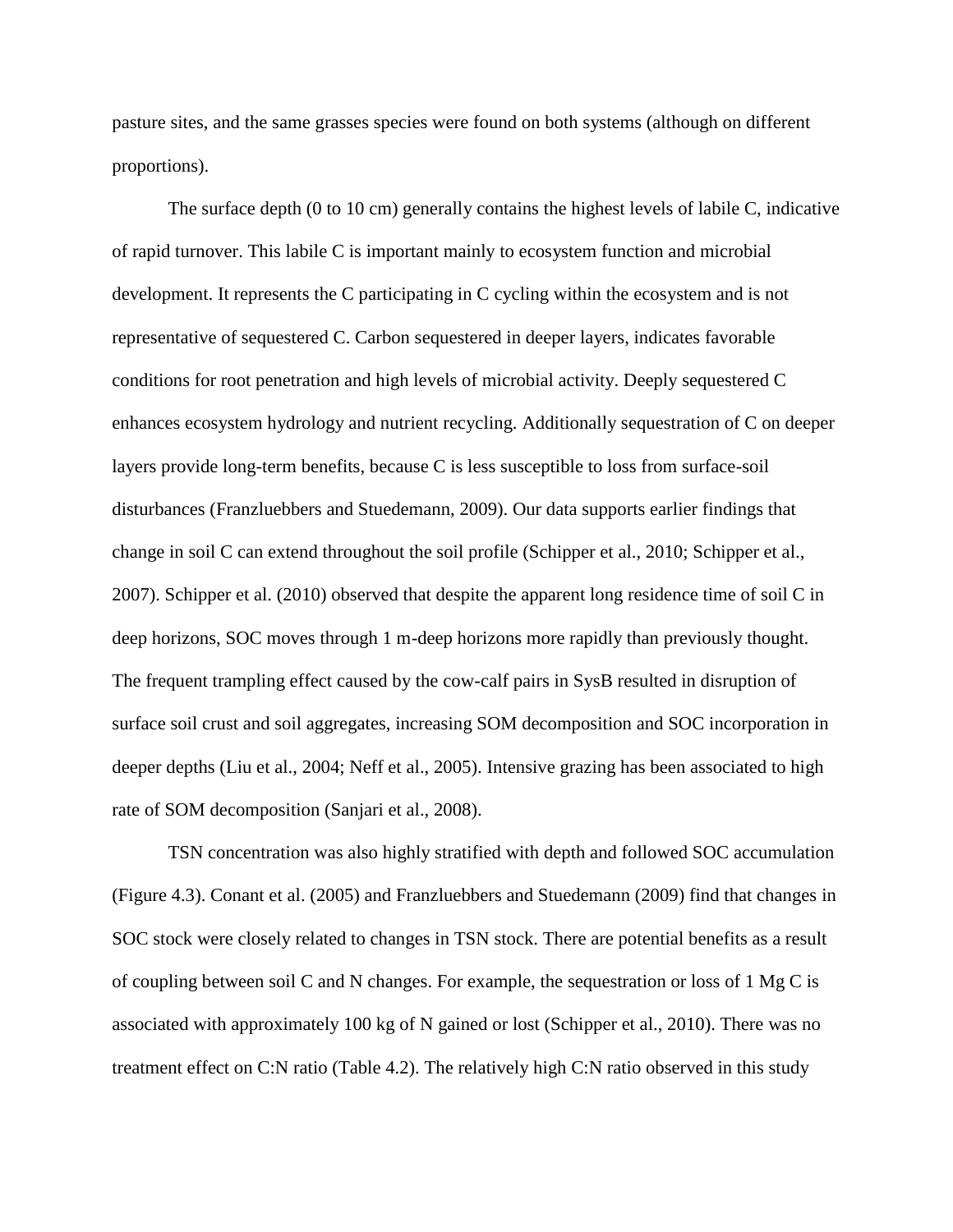pasture sites, and the same grasses species were found on both systems (although on different proportions).

The surface depth (0 to 10 cm) generally contains the highest levels of labile C, indicative of rapid turnover. This labile C is important mainly to ecosystem function and microbial development. It represents the C participating in C cycling within the ecosystem and is not representative of sequestered C. Carbon sequestered in deeper layers, indicates favorable conditions for root penetration and high levels of microbial activity. Deeply sequestered C enhances ecosystem hydrology and nutrient recycling. Additionally sequestration of C on deeper layers provide long-term benefits, because C is less susceptible to loss from surface-soil disturbances (Franzluebbers and Stuedemann, 2009). Our data supports earlier findings that change in soil C can extend throughout the soil profile (Schipper et al., 2010; Schipper et al., 2007). Schipper et al. (2010) observed that despite the apparent long residence time of soil C in deep horizons, SOC moves through 1 m-deep horizons more rapidly than previously thought. The frequent trampling effect caused by the cow-calf pairs in SysB resulted in disruption of surface soil crust and soil aggregates, increasing SOM decomposition and SOC incorporation in deeper depths (Liu et al., 2004; Neff et al., 2005). Intensive grazing has been associated to high rate of SOM decomposition (Sanjari et al., 2008).

TSN concentration was also highly stratified with depth and followed SOC accumulation (Figure 4.3). Conant et al. (2005) and Franzluebbers and Stuedemann (2009) find that changes in SOC stock were closely related to changes in TSN stock. There are potential benefits as a result of coupling between soil C and N changes. For example, the sequestration or loss of 1 Mg C is associated with approximately 100 kg of N gained or lost (Schipper et al., 2010). There was no treatment effect on C:N ratio (Table 4.2). The relatively high C:N ratio observed in this study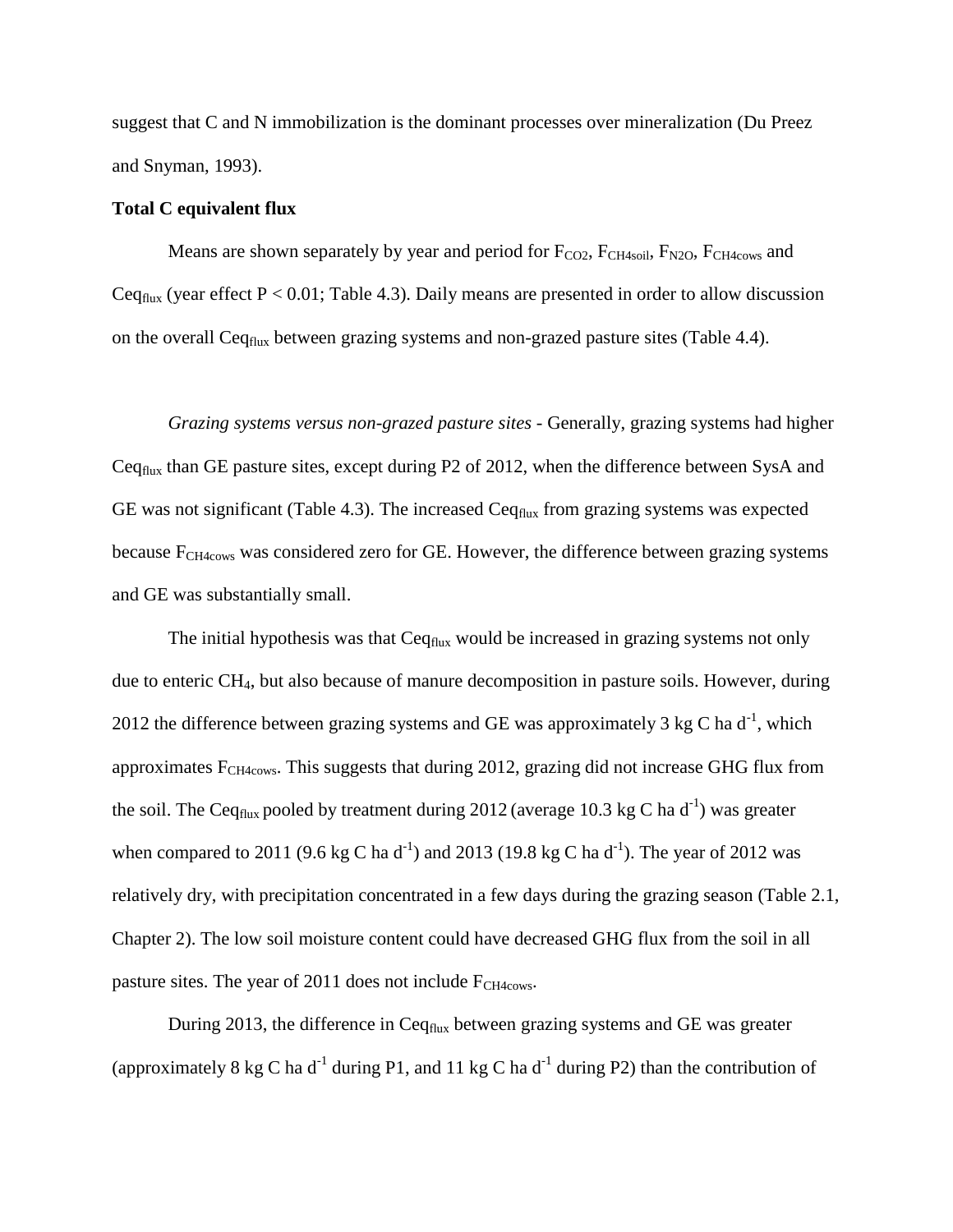suggest that C and N immobilization is the dominant processes over mineralization (Du Preez and Snyman, 1993).

### **Total C equivalent flux**

Means are shown separately by year and period for  $F_{CO2}$ ,  $F_{CH4soli}$ ,  $F_{N2O}$ ,  $F_{CH4cows}$  and Ceq<sub>flux</sub> (year effect  $P < 0.01$ ; Table 4.3). Daily means are presented in order to allow discussion on the overall Ceq<sub>flux</sub> between grazing systems and non-grazed pasture sites (Table 4.4).

*Grazing systems versus non-grazed pasture sites* - Generally, grazing systems had higher Ceqflux than GE pasture sites, except during P2 of 2012, when the difference between SysA and GE was not significant (Table 4.3). The increased  $Ceq_{flux}$  from grazing systems was expected because F<sub>CH4cows</sub> was considered zero for GE. However, the difference between grazing systems and GE was substantially small.

The initial hypothesis was that  $C_{eq_{flux}}$  would be increased in grazing systems not only due to enteric CH4, but also because of manure decomposition in pasture soils. However, during 2012 the difference between grazing systems and GE was approximately 3 kg C ha  $d^{-1}$ , which approximates  $F_{CH4cows}$ . This suggests that during 2012, grazing did not increase GHG flux from the soil. The Ceq<sub>flux</sub> pooled by treatment during 2012 (average 10.3 kg C ha d<sup>-1</sup>) was greater when compared to 2011 (9.6 kg C ha d<sup>-1</sup>) and 2013 (19.8 kg C ha d<sup>-1</sup>). The year of 2012 was relatively dry, with precipitation concentrated in a few days during the grazing season (Table 2.1, Chapter 2). The low soil moisture content could have decreased GHG flux from the soil in all pasture sites. The year of 2011 does not include F<sub>CH4cows</sub>.

During 2013, the difference in Ceq<sub>flux</sub> between grazing systems and GE was greater (approximately 8 kg C ha d<sup>-1</sup> during P1, and 11 kg C ha d<sup>-1</sup> during P2) than the contribution of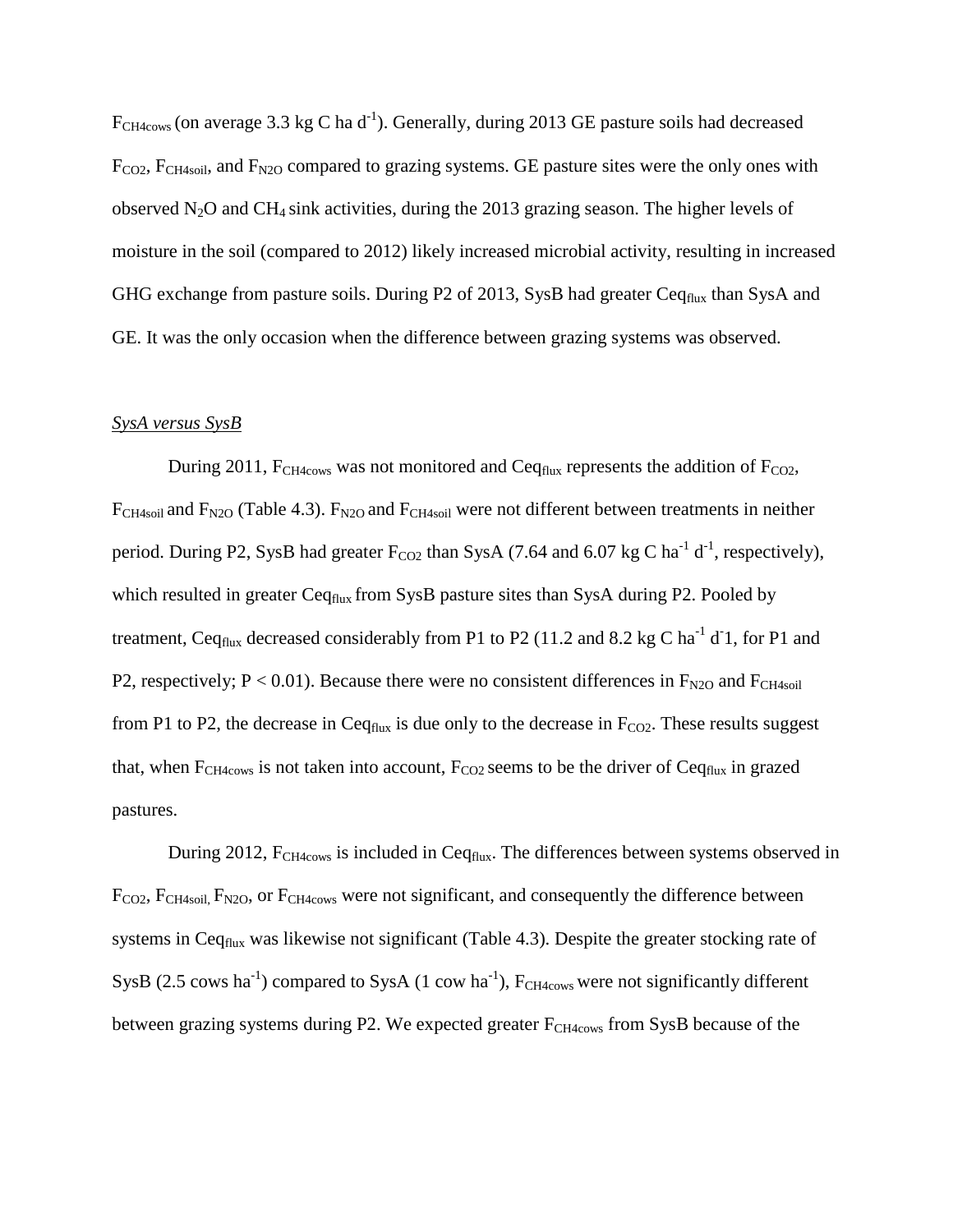$F_{CH4cows}$  (on average 3.3 kg C ha d<sup>-1</sup>). Generally, during 2013 GE pasture soils had decreased  $F_{CO2}$ ,  $F_{CH4soil}$ , and  $F_{N2O}$  compared to grazing systems. GE pasture sites were the only ones with observed  $N_2O$  and CH<sub>4</sub> sink activities, during the 2013 grazing season. The higher levels of moisture in the soil (compared to 2012) likely increased microbial activity, resulting in increased GHG exchange from pasture soils. During P2 of 2013, SysB had greater Ceq<sub>flux</sub> than SysA and GE. It was the only occasion when the difference between grazing systems was observed.

# *SysA versus SysB*

During 2011,  $F_{CH4cows}$  was not monitored and Ceq<sub>flux</sub> represents the addition of  $F_{CO2}$ ,  $F_{CH4soli}$  and  $F_{N2O}$  (Table 4.3).  $F_{N2O}$  and  $F_{CH4soli}$  were not different between treatments in neither period. During P2, SysB had greater  $F_{CO2}$  than SysA (7.64 and 6.07 kg C ha<sup>-1</sup> d<sup>-1</sup>, respectively), which resulted in greater Ceq $_{\text{flux}}$  from SysB pasture sites than SysA during P2. Pooled by treatment, Ceq<sub>flux</sub> decreased considerably from P1 to P2 (11.2 and 8.2 kg C ha<sup>-1</sup> d<sup>-</sup>1, for P1 and P2, respectively;  $P < 0.01$ ). Because there were no consistent differences in  $F_{N2O}$  and  $F_{CH4soil}$ from P1 to P2, the decrease in Ceq $_{\text{flux}}$  is due only to the decrease in  $F_{CO2}$ . These results suggest that, when  $F_{CH4cows}$  is not taken into account,  $F_{CO2}$  seems to be the driver of Ceq<sub>flux</sub> in grazed pastures.

During 2012,  $F_{CH4cows}$  is included in Ceq $_{flux}$ . The differences between systems observed in F<sub>CO2</sub>, F<sub>CH4soil, F<sub>N2O</sub>, or F<sub>CH4cows</sub> were not significant, and consequently the difference between</sub> systems in Ceq<sub>flux</sub> was likewise not significant (Table 4.3). Despite the greater stocking rate of SysB (2.5 cows ha<sup>-1</sup>) compared to SysA (1 cow ha<sup>-1</sup>),  $F_{CH4cows}$  were not significantly different between grazing systems during P2. We expected greater  $F_{CH4cows}$  from SysB because of the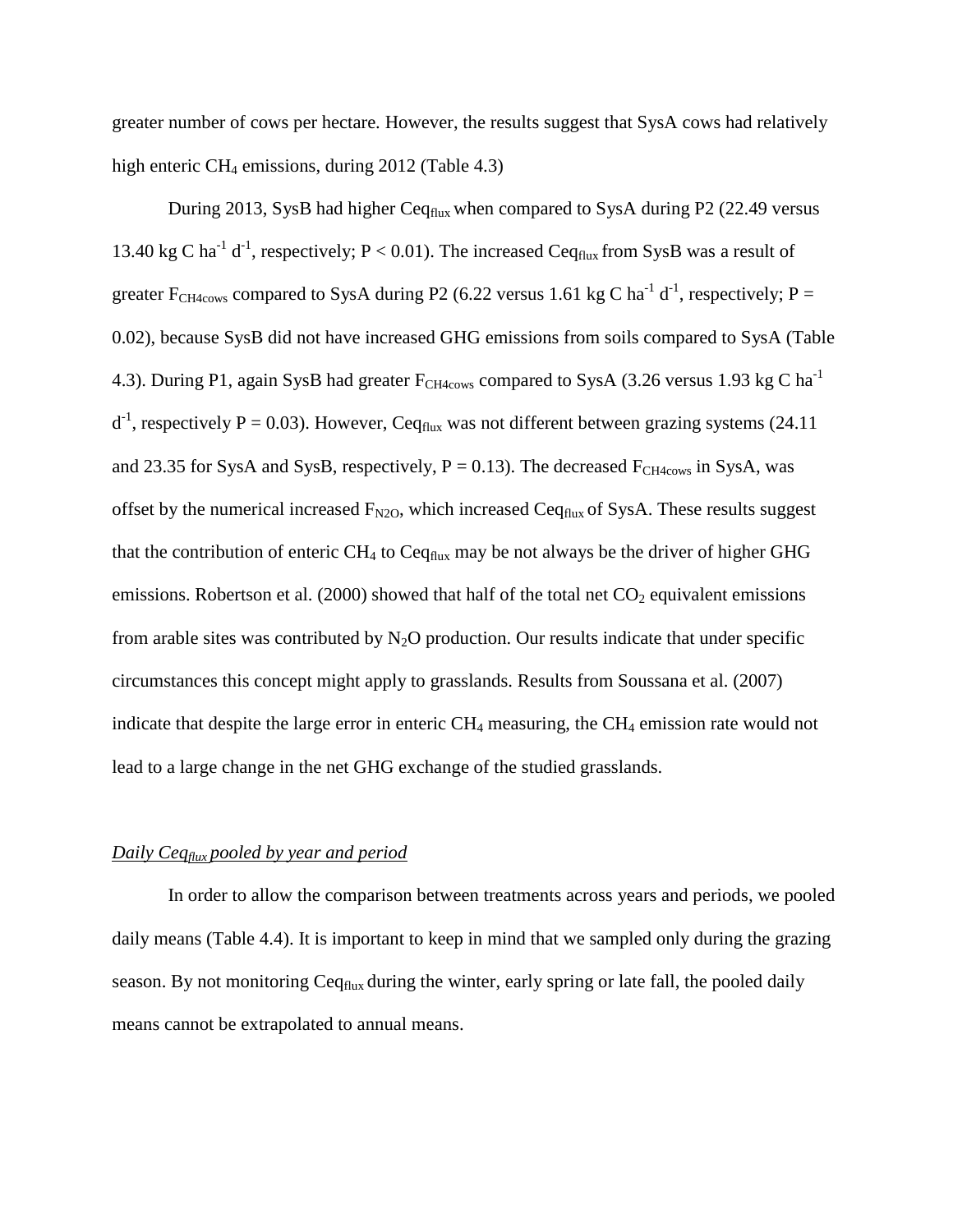greater number of cows per hectare. However, the results suggest that SysA cows had relatively high enteric  $CH_4$  emissions, during 2012 (Table 4.3)

During 2013, SysB had higher Ceq<sub>flux</sub> when compared to SysA during P2 (22.49 versus 13.40 kg C ha<sup>-1</sup> d<sup>-1</sup>, respectively; P < 0.01). The increased Ceq<sub>flux</sub> from SysB was a result of greater F<sub>CH4cows</sub> compared to SysA during P2 (6.22 versus 1.61 kg C ha<sup>-1</sup> d<sup>-1</sup>, respectively; P = 0.02), because SysB did not have increased GHG emissions from soils compared to SysA (Table 4.3). During P1, again SysB had greater  $F_{CH4cows}$  compared to SysA (3.26 versus 1.93 kg C ha<sup>-1</sup>  $d^{-1}$ , respectively P = 0.03). However, Ceq<sub>flux</sub> was not different between grazing systems (24.11) and 23.35 for SysA and SysB, respectively,  $P = 0.13$ ). The decreased  $F_{CH4cows}$  in SysA, was offset by the numerical increased  $F_{N2O}$ , which increased Ceq<sub>flux</sub> of SysA. These results suggest that the contribution of enteric  $CH_4$  to  $Ceq_{flux}$  may be not always be the driver of higher GHG emissions. Robertson et al. (2000) showed that half of the total net  $CO<sub>2</sub>$  equivalent emissions from arable sites was contributed by  $N_2O$  production. Our results indicate that under specific circumstances this concept might apply to grasslands. Results from Soussana et al. (2007) indicate that despite the large error in enteric  $CH_4$  measuring, the  $CH_4$  emission rate would not lead to a large change in the net GHG exchange of the studied grasslands.

#### *Daily Ceqflux pooled by year and period*

In order to allow the comparison between treatments across years and periods, we pooled daily means (Table 4.4). It is important to keep in mind that we sampled only during the grazing season. By not monitoring Ceq<sub>flux</sub> during the winter, early spring or late fall, the pooled daily means cannot be extrapolated to annual means.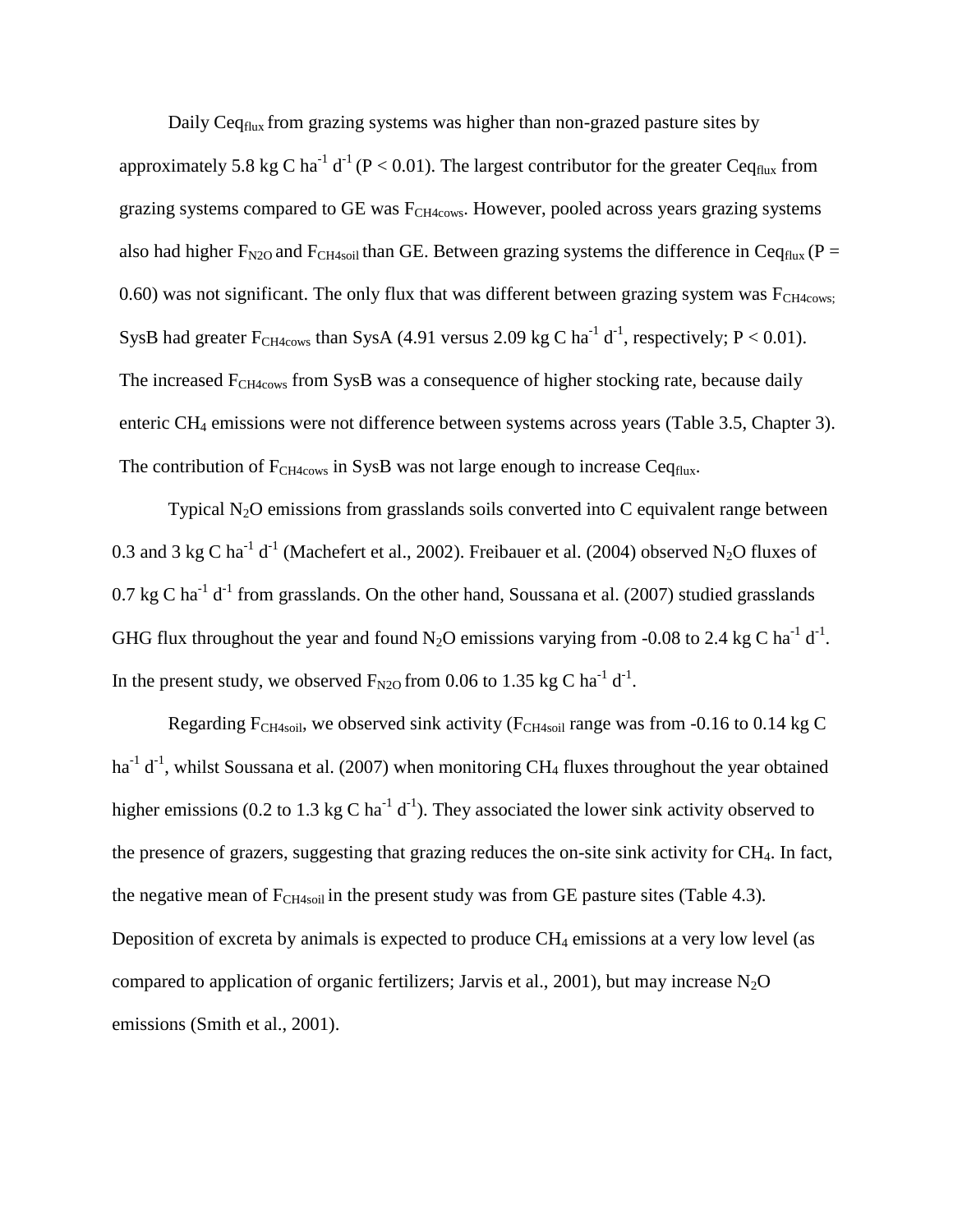Daily Ceq<sub>flux</sub> from grazing systems was higher than non-grazed pasture sites by

approximately 5.8 kg C ha<sup>-1</sup> d<sup>-1</sup> (P < 0.01). The largest contributor for the greater Ceq<sub>flux</sub> from grazing systems compared to GE was  $F_{CH4cows}$ . However, pooled across years grazing systems also had higher  $F_{N2O}$  and  $F_{CH4soil}$  than GE. Between grazing systems the difference in Ceq<sub>flux</sub> (P = 0.60) was not significant. The only flux that was different between grazing system was  $F_{CH4cows}$ : SysB had greater  $F_{CH4cows}$  than SysA (4.91 versus 2.09 kg C ha<sup>-1</sup> d<sup>-1</sup>, respectively; P < 0.01). The increased  $F<sub>CH4cows</sub>$  from SysB was a consequence of higher stocking rate, because daily enteric CH<sup>4</sup> emissions were not difference between systems across years (Table 3.5, Chapter 3). The contribution of  $F_{CH4cows}$  in SysB was not large enough to increase Ceq<sub>flux</sub>.

Typical  $N_2O$  emissions from grasslands soils converted into C equivalent range between 0.3 and 3 kg C ha<sup>-1</sup> d<sup>-1</sup> (Machefert et al., 2002). Freibauer et al. (2004) observed N<sub>2</sub>O fluxes of 0.7 kg C ha<sup>-1</sup> d<sup>-1</sup> from grasslands. On the other hand, Soussana et al. (2007) studied grasslands GHG flux throughout the year and found N<sub>2</sub>O emissions varying from -0.08 to 2.4 kg C ha<sup>-1</sup> d<sup>-1</sup>. In the present study, we observed  $F_{N2O}$  from 0.06 to 1.35 kg C ha<sup>-1</sup> d<sup>-1</sup>.

Regarding  $F_{CH4soil}$ , we observed sink activity ( $F_{CH4soil}$  range was from -0.16 to 0.14 kg C ha<sup>-1</sup> d<sup>-1</sup>, whilst Soussana et al. (2007) when monitoring CH<sub>4</sub> fluxes throughout the year obtained higher emissions (0.2 to 1.3 kg C ha<sup>-1</sup> d<sup>-1</sup>). They associated the lower sink activity observed to the presence of grazers, suggesting that grazing reduces the on-site sink activity for CH4. In fact, the negative mean of  $F_{CH4soli}$  in the present study was from GE pasture sites (Table 4.3). Deposition of excreta by animals is expected to produce  $CH_4$  emissions at a very low level (as compared to application of organic fertilizers; Jarvis et al., 2001), but may increase  $N_2O$ emissions (Smith et al., 2001).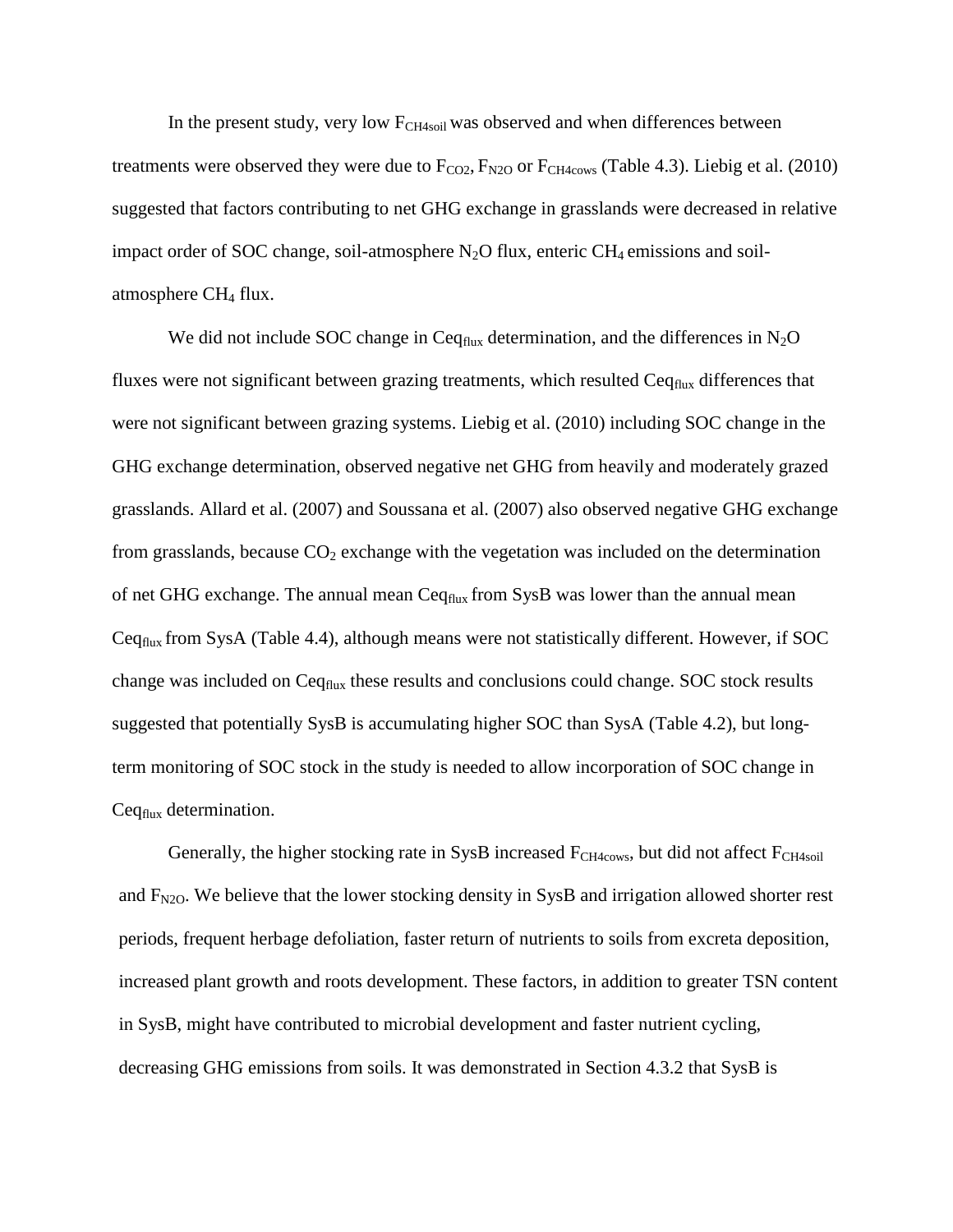In the present study, very low  $F_{CH4soil}$  was observed and when differences between treatments were observed they were due to  $F_{CO2}$ ,  $F_{N2O}$  or  $F_{CH4cows}$  (Table 4.3). Liebig et al. (2010) suggested that factors contributing to net GHG exchange in grasslands were decreased in relative impact order of SOC change, soil-atmosphere  $N_2O$  flux, enteric CH<sub>4</sub> emissions and soilatmosphere  $CH<sub>4</sub>$  flux.

We did not include SOC change in Ceq $_{\text{flux}}$  determination, and the differences in N<sub>2</sub>O fluxes were not significant between grazing treatments, which resulted  $C_{eq_{flux}}$  differences that were not significant between grazing systems. Liebig et al. (2010) including SOC change in the GHG exchange determination, observed negative net GHG from heavily and moderately grazed grasslands. Allard et al. (2007) and Soussana et al. (2007) also observed negative GHG exchange from grasslands, because  $CO<sub>2</sub>$  exchange with the vegetation was included on the determination of net GHG exchange. The annual mean Ceq<sub>flux</sub> from SysB was lower than the annual mean Ceqflux from SysA (Table 4.4), although means were not statistically different. However, if SOC change was included on Ceq<sub>flux</sub> these results and conclusions could change. SOC stock results suggested that potentially SysB is accumulating higher SOC than SysA (Table 4.2), but longterm monitoring of SOC stock in the study is needed to allow incorporation of SOC change in Ceq<sub>flux</sub> determination.

Generally, the higher stocking rate in SysB increased  $F<sub>CH4cows</sub>$ , but did not affect  $F<sub>CH4soil</sub>$ and  $F_{N2O}$ . We believe that the lower stocking density in SysB and irrigation allowed shorter rest periods, frequent herbage defoliation, faster return of nutrients to soils from excreta deposition, increased plant growth and roots development. These factors, in addition to greater TSN content in SysB, might have contributed to microbial development and faster nutrient cycling, decreasing GHG emissions from soils. It was demonstrated in Section 4.3.2 that SysB is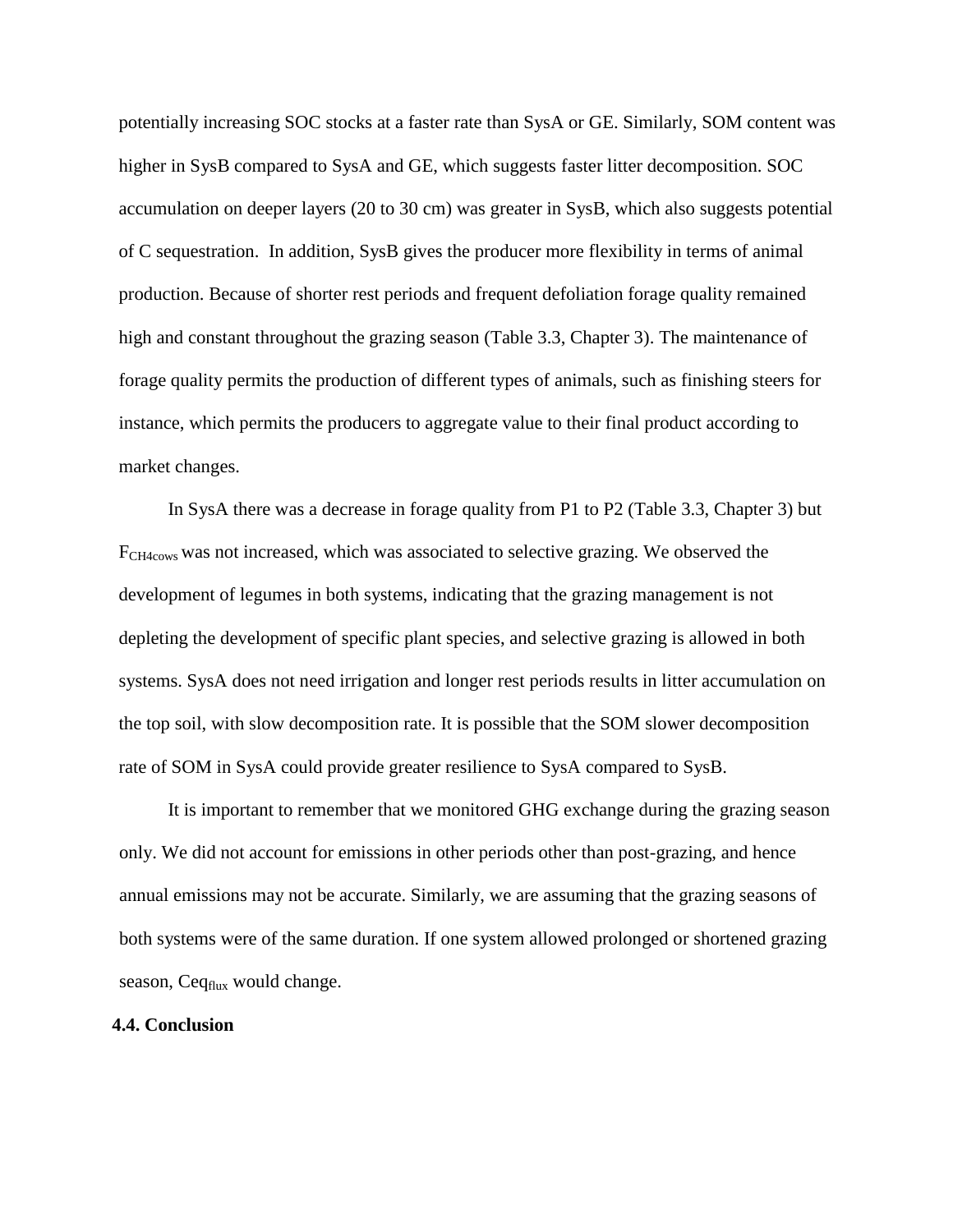potentially increasing SOC stocks at a faster rate than SysA or GE. Similarly, SOM content was higher in SysB compared to SysA and GE, which suggests faster litter decomposition. SOC accumulation on deeper layers (20 to 30 cm) was greater in SysB, which also suggests potential of C sequestration. In addition, SysB gives the producer more flexibility in terms of animal production. Because of shorter rest periods and frequent defoliation forage quality remained high and constant throughout the grazing season (Table 3.3, Chapter 3). The maintenance of forage quality permits the production of different types of animals, such as finishing steers for instance, which permits the producers to aggregate value to their final product according to market changes.

In SysA there was a decrease in forage quality from P1 to P2 (Table 3.3, Chapter 3) but FCH4cows was not increased, which was associated to selective grazing. We observed the development of legumes in both systems, indicating that the grazing management is not depleting the development of specific plant species, and selective grazing is allowed in both systems. SysA does not need irrigation and longer rest periods results in litter accumulation on the top soil, with slow decomposition rate. It is possible that the SOM slower decomposition rate of SOM in SysA could provide greater resilience to SysA compared to SysB.

It is important to remember that we monitored GHG exchange during the grazing season only. We did not account for emissions in other periods other than post-grazing, and hence annual emissions may not be accurate. Similarly, we are assuming that the grazing seasons of both systems were of the same duration. If one system allowed prolonged or shortened grazing season, Ceq<sub>flux</sub> would change.

# **4.4. Conclusion**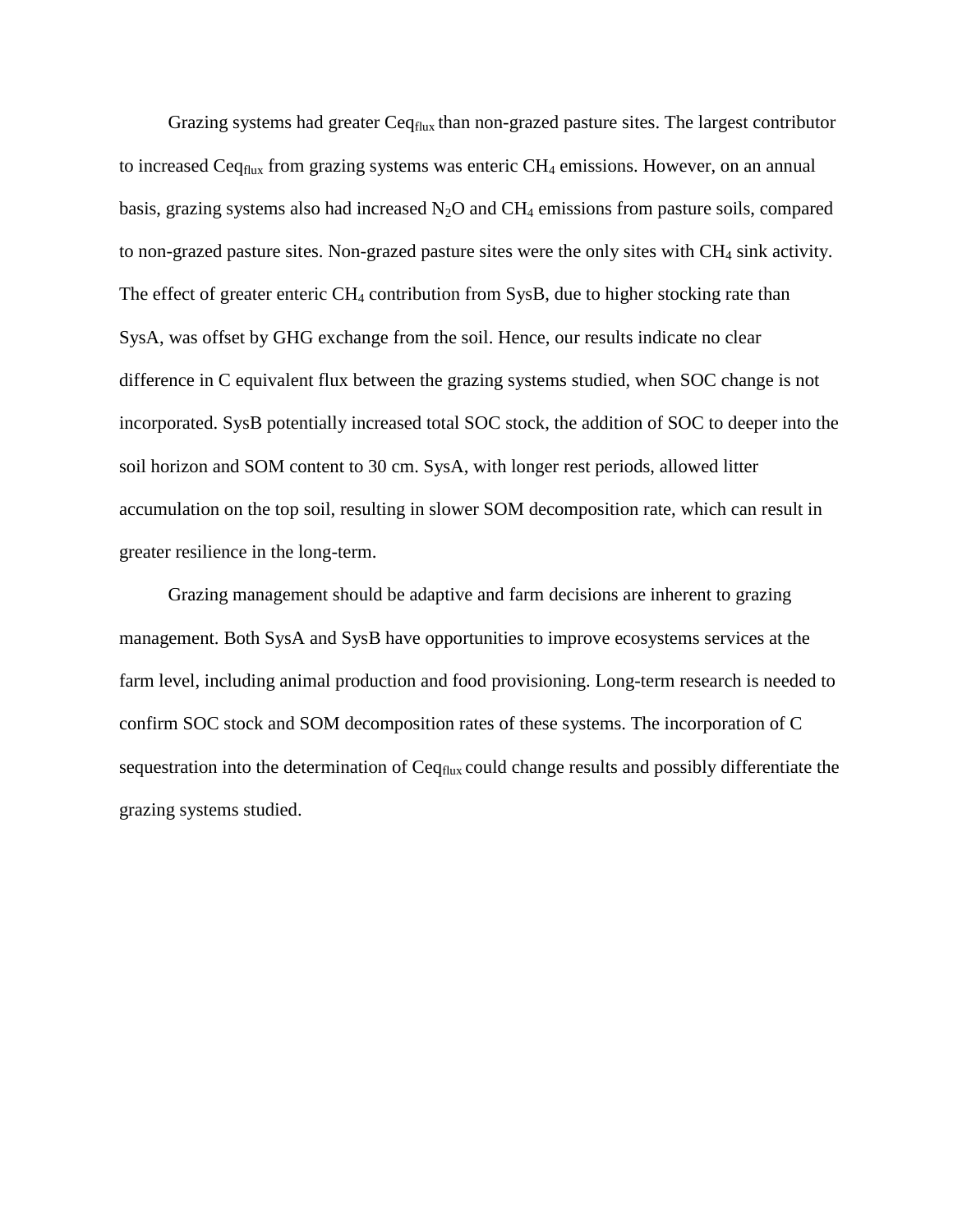Grazing systems had greater  $C_{eq_{flux}}$  than non-grazed pasture sites. The largest contributor to increased Ceq $_{\text{flux}}$  from grazing systems was enteric CH<sub>4</sub> emissions. However, on an annual basis, grazing systems also had increased  $N_2O$  and  $CH_4$  emissions from pasture soils, compared to non-grazed pasture sites. Non-grazed pasture sites were the only sites with  $CH<sub>4</sub>$  sink activity. The effect of greater enteric  $CH_4$  contribution from SysB, due to higher stocking rate than SysA, was offset by GHG exchange from the soil. Hence, our results indicate no clear difference in C equivalent flux between the grazing systems studied, when SOC change is not incorporated. SysB potentially increased total SOC stock, the addition of SOC to deeper into the soil horizon and SOM content to 30 cm. SysA, with longer rest periods, allowed litter accumulation on the top soil, resulting in slower SOM decomposition rate, which can result in greater resilience in the long-term.

Grazing management should be adaptive and farm decisions are inherent to grazing management. Both SysA and SysB have opportunities to improve ecosystems services at the farm level, including animal production and food provisioning. Long-term research is needed to confirm SOC stock and SOM decomposition rates of these systems. The incorporation of C sequestration into the determination of Ceq<sub>flux</sub> could change results and possibly differentiate the grazing systems studied.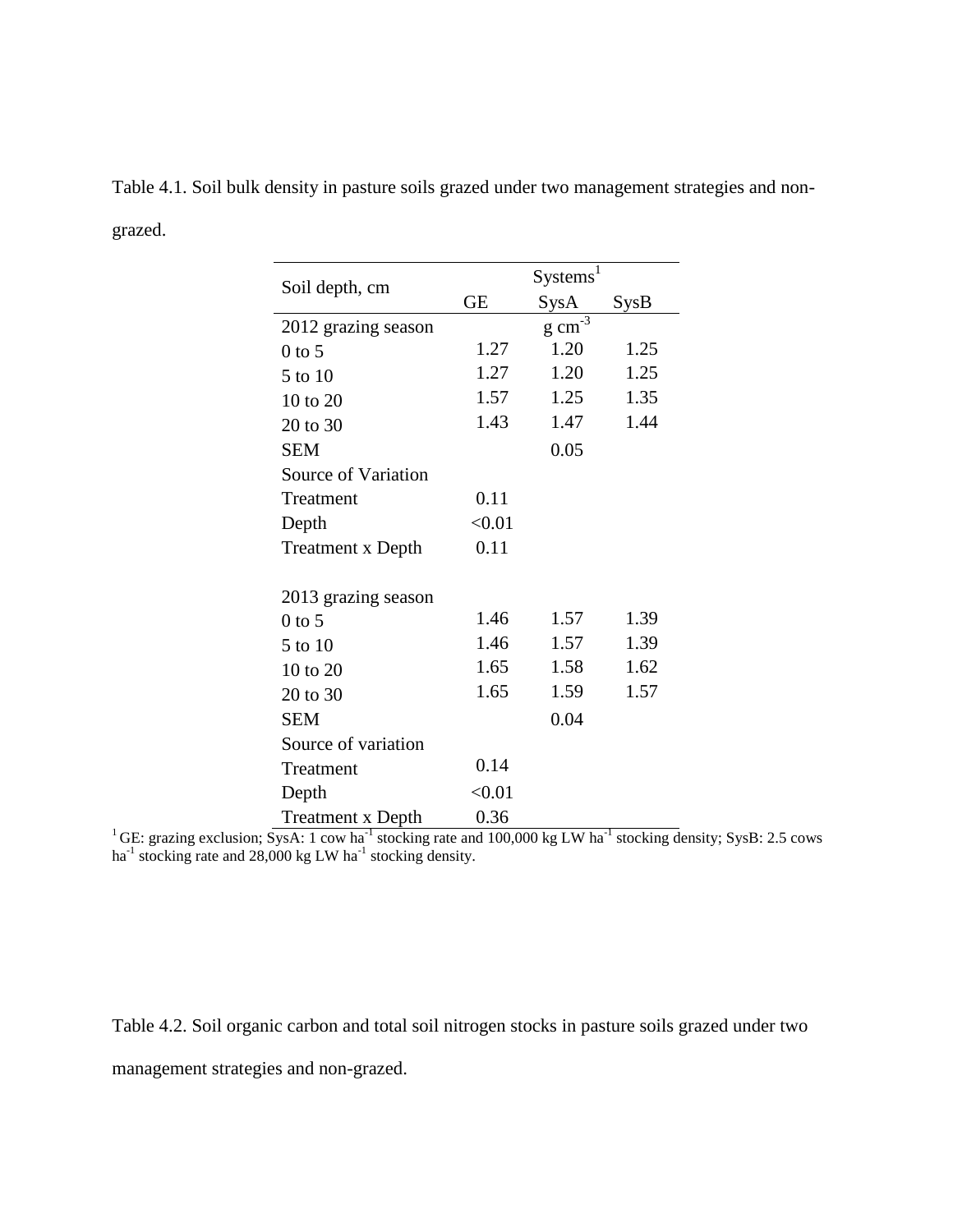| Soil depth, cm           |           | Systems <sup>1</sup> |                  |
|--------------------------|-----------|----------------------|------------------|
|                          | <b>GE</b> | SysA                 | S <sub>ysB</sub> |
| 2012 grazing season      |           | $g \text{ cm}^{-3}$  |                  |
| $0$ to 5                 | 1.27      | 1.20                 | 1.25             |
| 5 to 10                  | 1.27      | 1.20                 | 1.25             |
| 10 to 20                 | 1.57      | 1.25                 | 1.35             |
| 20 to 30                 | 1.43      | 1.47                 | 1.44             |
| <b>SEM</b>               |           | 0.05                 |                  |
| Source of Variation      |           |                      |                  |
| Treatment                | 0.11      |                      |                  |
| Depth                    | < 0.01    |                      |                  |
| <b>Treatment x Depth</b> | 0.11      |                      |                  |
| 2013 grazing season      |           |                      |                  |
| $0$ to 5                 | 1.46      | 1.57                 | 1.39             |
| 5 to 10                  | 1.46      | 1.57                 | 1.39             |
| 10 to 20                 | 1.65      | 1.58                 | 1.62             |
| 20 to 30                 | 1.65      | 1.59                 | 1.57             |
| <b>SEM</b>               |           | 0.04                 |                  |
| Source of variation      |           |                      |                  |
| Treatment                | 0.14      |                      |                  |
| Depth                    | < 0.01    |                      |                  |
| <b>Treatment x Depth</b> | 0.36      |                      |                  |

Table 4.1. Soil bulk density in pasture soils grazed under two management strategies and nongrazed.

<sup>1</sup>GE: grazing exclusion; SysA: 1 cow ha<sup>-1</sup> stocking rate and 100,000 kg LW ha<sup>-1</sup> stocking density; SysB: 2.5 cows ha<sup>-1</sup> stocking rate and 28,000 kg LW ha<sup>-1</sup> stocking density.

Table 4.2. Soil organic carbon and total soil nitrogen stocks in pasture soils grazed under two management strategies and non-grazed.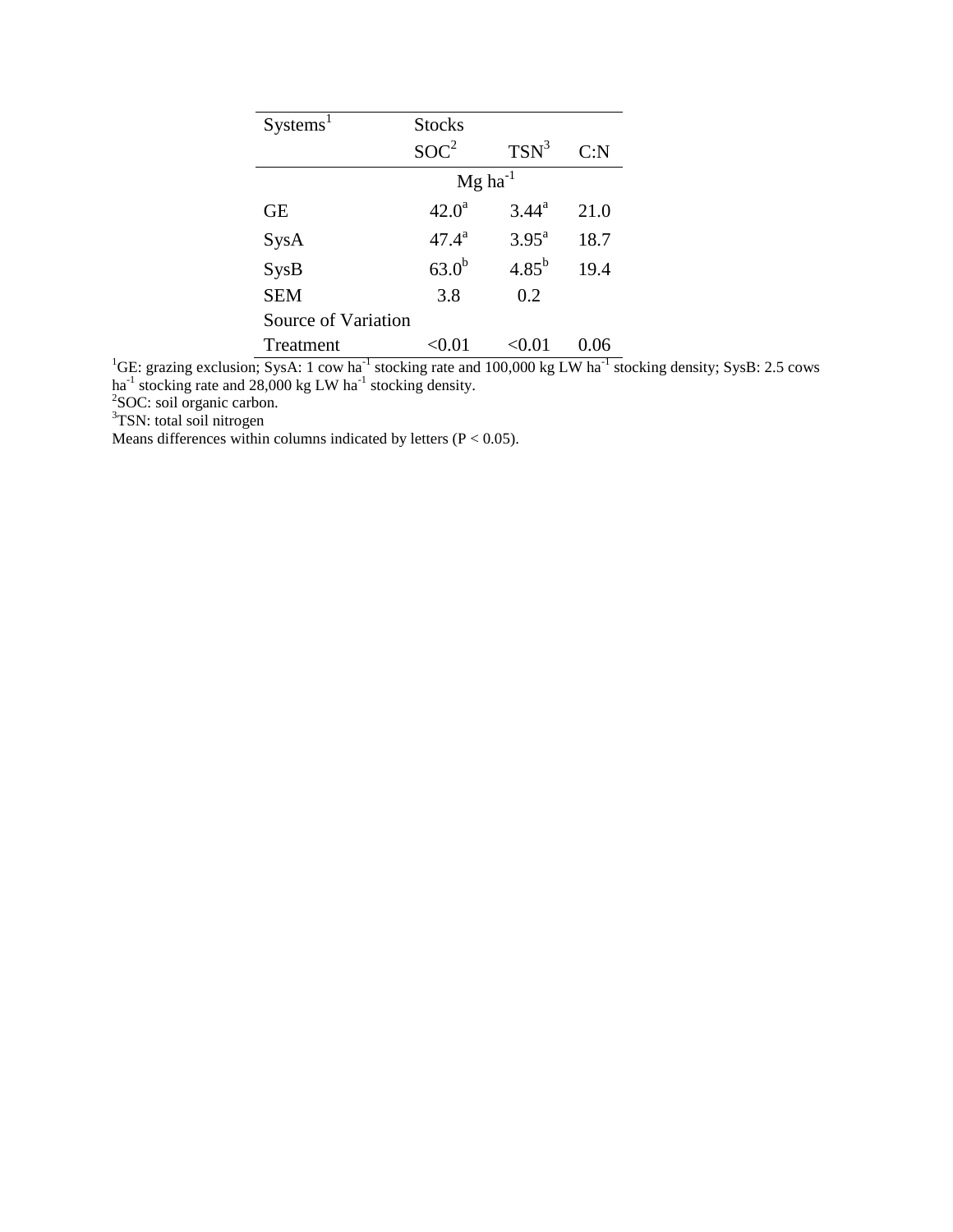| Systems <sup>1</sup> | <b>Stocks</b>     |                       |      |  |  |  |  |
|----------------------|-------------------|-----------------------|------|--|--|--|--|
|                      | SOC <sup>2</sup>  | $TSN^3$               | C: N |  |  |  |  |
|                      |                   | $Mg$ ha <sup>-1</sup> |      |  |  |  |  |
| <b>GE</b>            | $42.0^a$          | $3.44^{\rm a}$        | 21.0 |  |  |  |  |
| SysA                 | $47.4^{\rm a}$    | $3.95^{\text{a}}$     | 18.7 |  |  |  |  |
| S <sub>ysB</sub>     | 63.0 <sup>b</sup> | $4.85^{b}$            | 19.4 |  |  |  |  |
| <b>SEM</b>           | 3.8               | 0.2                   |      |  |  |  |  |
| Source of Variation  |                   |                       |      |  |  |  |  |
| Treatment            | $< \!\! 0.01$     | < 0.01                | 0.06 |  |  |  |  |

<sup>1</sup>GE: grazing exclusion; SysA: 1 cow ha<sup>-1</sup> stocking rate and 100,000 kg LW ha<sup>-1</sup> stocking density; SysB: 2.5 cows ha<sup>-1</sup> stocking rate and 28,000 kg LW ha<sup>-1</sup> stocking density.<br><sup>2</sup>SOC: soil organic carbon.

<sup>3</sup>TSN: total soil nitrogen

Means differences within columns indicated by letters  $(P < 0.05)$ .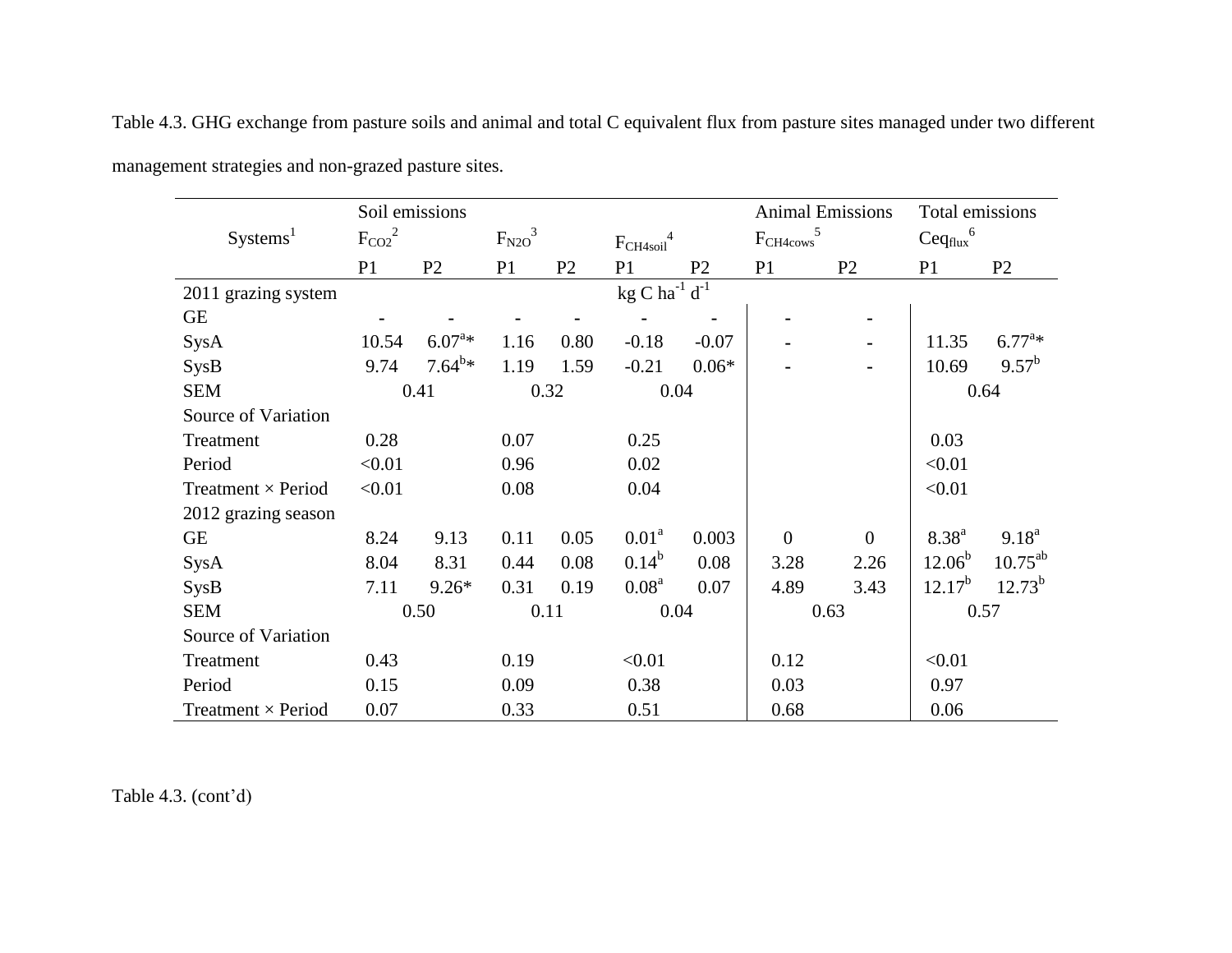|                           |             | Soil emissions |             |                |                                 |                |                       | <b>Animal Emissions</b> | Total emissions         |                |
|---------------------------|-------------|----------------|-------------|----------------|---------------------------------|----------------|-----------------------|-------------------------|-------------------------|----------------|
| Systems <sup>1</sup>      | $F_{CO2}^2$ |                | $F_{N2O}^3$ |                | $\mathrm{F_{CH4soil}}^4$        |                | ${\rm F_{CH4cows}}^5$ |                         | $\mathrm{Ceq_{flux}}^6$ |                |
|                           | P1          | P2             | P1          | P <sub>2</sub> | P1                              | P <sub>2</sub> | P <sub>1</sub>        | P2                      | P <sub>1</sub>          | P <sub>2</sub> |
| 2011 grazing system       |             |                |             |                | kg C ha $^{-1}$ d <sup>-1</sup> |                |                       |                         |                         |                |
| <b>GE</b>                 |             |                |             |                |                                 |                |                       | $\blacksquare$          |                         |                |
| SysA                      | 10.54       | $6.07^{a*}$    | 1.16        | 0.80           | $-0.18$                         | $-0.07$        |                       |                         | 11.35                   | $6.77^{a*}$    |
| SysB                      | 9.74        | $7.64^{b*}$    | 1.19        | 1.59           | $-0.21$                         | $0.06*$        |                       |                         | 10.69                   | $9.57^{b}$     |
| <b>SEM</b>                |             | 0.41           |             | 0.32           |                                 | 0.04           |                       |                         |                         | 0.64           |
| Source of Variation       |             |                |             |                |                                 |                |                       |                         |                         |                |
| Treatment                 | 0.28        |                | 0.07        |                | 0.25                            |                |                       |                         | 0.03                    |                |
| Period                    | < 0.01      |                | 0.96        |                | 0.02                            |                |                       |                         | < 0.01                  |                |
| Treatment $\times$ Period | < 0.01      |                | 0.08        |                | 0.04                            |                |                       |                         | < 0.01                  |                |
| 2012 grazing season       |             |                |             |                |                                 |                |                       |                         |                         |                |
| <b>GE</b>                 | 8.24        | 9.13           | 0.11        | 0.05           | 0.01 <sup>a</sup>               | 0.003          | $\boldsymbol{0}$      | $\overline{0}$          | $8.38^{a}$              | $9.18^{a}$     |
| SysA                      | 8.04        | 8.31           | 0.44        | 0.08           | $0.14^{b}$                      | 0.08           | 3.28                  | 2.26                    | $12.06^b$               | $10.75^{ab}$   |
| SysB                      | 7.11        | $9.26*$        | 0.31        | 0.19           | 0.08 <sup>a</sup>               | 0.07           | 4.89                  | 3.43                    | $12.17^{b}$             | $12.73^{b}$    |
| <b>SEM</b>                |             | 0.50           |             | 0.11           |                                 | 0.04           |                       | 0.63                    |                         | 0.57           |
| Source of Variation       |             |                |             |                |                                 |                |                       |                         |                         |                |
| Treatment                 | 0.43        |                | 0.19        |                | < 0.01                          |                | 0.12                  |                         | < 0.01                  |                |
| Period                    | 0.15        |                | 0.09        |                | 0.38                            |                | 0.03                  |                         | 0.97                    |                |
| Treatment × Period        | 0.07        |                | 0.33        |                | 0.51                            |                | 0.68                  |                         | 0.06                    |                |

Table 4.3. GHG exchange from pasture soils and animal and total C equivalent flux from pasture sites managed under two different management strategies and non-grazed pasture sites.

Table 4.3. (cont'd)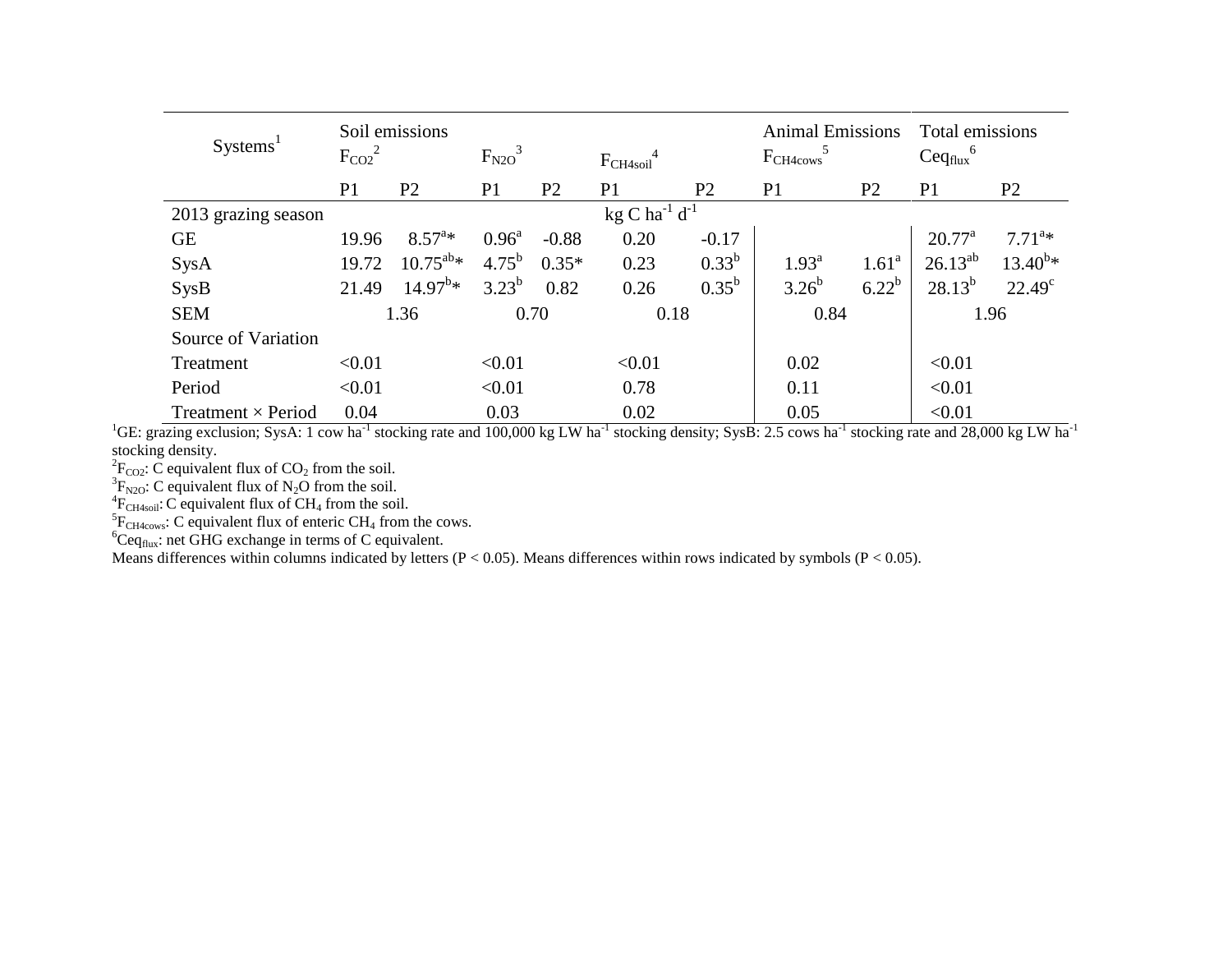| Systems <sup>1</sup>      | $F_{CO2}^2$    | Soil emissions    | $F_{N2O}^3$    |                | $F_{CH4soil}^4$                       |                | <b>Animal Emissions</b><br>$F_{CH4cows}$ |                | Total emissions<br>$\mathrm{Ceq_{flux}}^6$ |                 |
|---------------------------|----------------|-------------------|----------------|----------------|---------------------------------------|----------------|------------------------------------------|----------------|--------------------------------------------|-----------------|
|                           | P <sub>1</sub> | P <sub>2</sub>    | P <sub>1</sub> | P <sub>2</sub> | P <sub>1</sub>                        | P <sub>2</sub> | P <sub>1</sub>                           | P <sub>2</sub> | P <sub>1</sub>                             | P <sub>2</sub>  |
| 2013 grazing season       |                |                   |                |                | kg C ha <sup>-1</sup> d <sup>-1</sup> |                |                                          |                |                                            |                 |
| <b>GE</b>                 | 19.96          | $8.57^{a*}$       | $0.96^{\rm a}$ | $-0.88$        | 0.20                                  | $-0.17$        |                                          |                | $20.77^{\rm a}$                            | $7.71^{a*}$     |
| SysA                      | 19.72          | $10.75^{ab} *$    | $4.75^{b}$     | $0.35*$        | 0.23                                  | $0.33^{b}$     | $1.93^{\rm a}$                           | $1.61^{\rm a}$ | $26.13^{ab}$                               | $13.40^{b*}$    |
| <b>SysB</b>               | 21.49          | $14.97^{\rm b}$ * | $3.23^{b}$     | 0.82           | 0.26                                  | $0.35^{\rm b}$ | $3.26^{b}$                               | $6.22^{b}$     | $28.13^{b}$                                | $22.49^{\circ}$ |
| <b>SEM</b>                |                | 1.36              |                | 0.70           | 0.18                                  |                | 0.84                                     |                |                                            | 1.96            |
| Source of Variation       |                |                   |                |                |                                       |                |                                          |                |                                            |                 |
| Treatment                 | < 0.01         |                   | < 0.01         |                | < 0.01                                |                | 0.02                                     |                | < 0.01                                     |                 |
| Period                    | < 0.01         |                   | < 0.01         |                | 0.78                                  |                | 0.11                                     |                | < 0.01                                     |                 |
| Treatment $\times$ Period | 0.04           |                   | 0.03           |                | 0.02                                  |                | 0.05                                     |                | < 0.01                                     |                 |

<sup>1</sup>GE: grazing exclusion; SysA: 1 cow ha<sup>-1</sup> stocking rate and 100,000 kg LW ha<sup>-1</sup> stocking density; SysB: 2.5 cows ha<sup>-1</sup> stocking rate and 28,000 kg LW ha<sup>-1</sup> stocking density.

<sup>2</sup> $F_{CO2}$ :  $\bar{C}$  equivalent flux of CO<sub>2</sub> from the soil.<br><sup>3</sup> $F_{N2O}$ : C equivalent flux of N<sub>2</sub>O from the soil.<br><sup>4</sup> $F_{CH4soil}$ : C equivalent flux of CH<sub>4</sub> from the soil.

 ${}^{5}F_{CH4cows}$ : C equivalent flux of enteric CH<sub>4</sub> from the cows.

 ${}^{6}Ceq_{flux}$ : net GHG exchange in terms of C equivalent.

Means differences within columns indicated by letters  $(P < 0.05)$ . Means differences within rows indicated by symbols  $(P < 0.05)$ .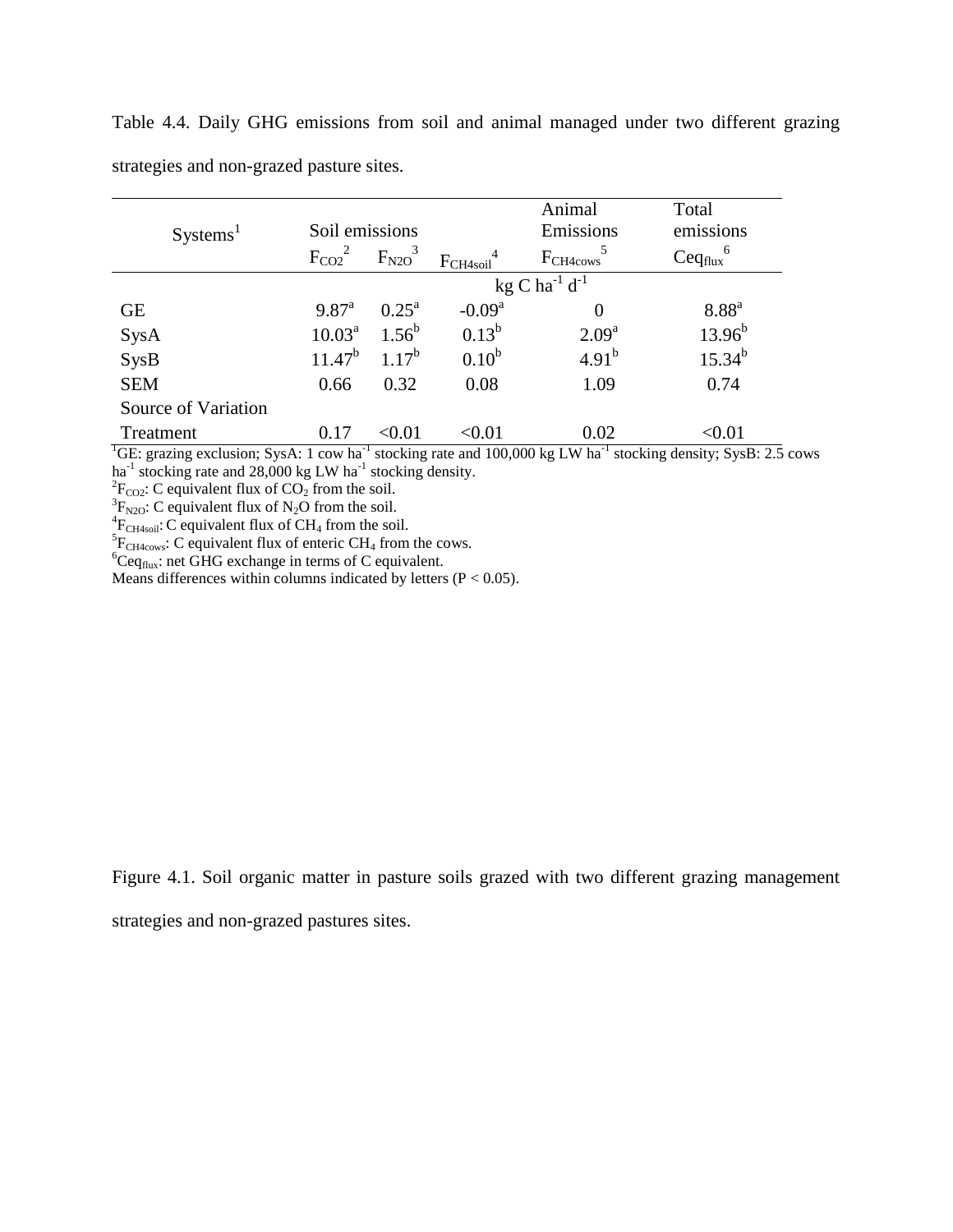| Systems <sup>1</sup> | Soil emissions                        |                         |                   | Animal<br>Emissions  | Total<br>emissions             |  |  |  |  |
|----------------------|---------------------------------------|-------------------------|-------------------|----------------------|--------------------------------|--|--|--|--|
|                      | $F_{CO2}^2$                           | $F_{N2O}^3$             | $F_{CH4soil}$     | F <sub>CH4cows</sub> | $\text{Ceq}_{\text{flux}}^{6}$ |  |  |  |  |
|                      | kg C ha <sup>-1</sup> d <sup>-1</sup> |                         |                   |                      |                                |  |  |  |  |
| <b>GE</b>            | $9.87^{\rm a}$                        | $0.25^{\rm a}$          | $-0.09a$          | $\theta$             | 8.88 <sup>a</sup>              |  |  |  |  |
| SysA                 | $10.03^{\text{a}}$                    | $1.56^{b}$              | $0.13^{b}$        | 2.09 <sup>a</sup>    | $13.96^{b}$                    |  |  |  |  |
| <b>SysB</b>          | $11.47^b$                             | $1.17^{b}$              | 0.10 <sup>b</sup> | $4.91^{b}$           | $15.34^{b}$                    |  |  |  |  |
| <b>SEM</b>           | 0.66                                  | 0.32                    | 0.08              | 1.09                 | 0.74                           |  |  |  |  |
| Source of Variation  |                                       |                         |                   |                      |                                |  |  |  |  |
| Treatment            | 0.17                                  | $< \hspace{-0.2em}0.01$ | <0.01             | 0.02                 | < 0.01                         |  |  |  |  |

Table 4.4. Daily GHG emissions from soil and animal managed under two different grazing strategies and non-grazed pasture sites.

<sup>1</sup>GE: grazing exclusion; SysA: 1 cow ha<sup>-1</sup> stocking rate and 100,000 kg LW ha<sup>-1</sup> stocking density; SysB: 2.5 cows ha<sup>-1</sup> stocking rate and 28,000 kg LW ha<sup>-1</sup> stocking density.

<sup>2</sup>F<sub>CO2</sub>: C equivalent flux of CO<sub>2</sub> from the soil.<br><sup>3</sup>F<sub>N2O</sub>: C equivalent flux of N<sub>2</sub>O from the soil.

<sup>4</sup> $F_{CH4soli}$ : C equivalent flux of CH<sub>4</sub> from the soil.<br><sup>5</sup> $F_{CH4cows}$ : C equivalent flux of enteric CH<sub>4</sub> from the cows.

 ${}^{6}Ceq_{flux}$ : net GHG exchange in terms of C equivalent.

Means differences within columns indicated by letters ( $P < 0.05$ ).

Figure 4.1. Soil organic matter in pasture soils grazed with two different grazing management

strategies and non-grazed pastures sites.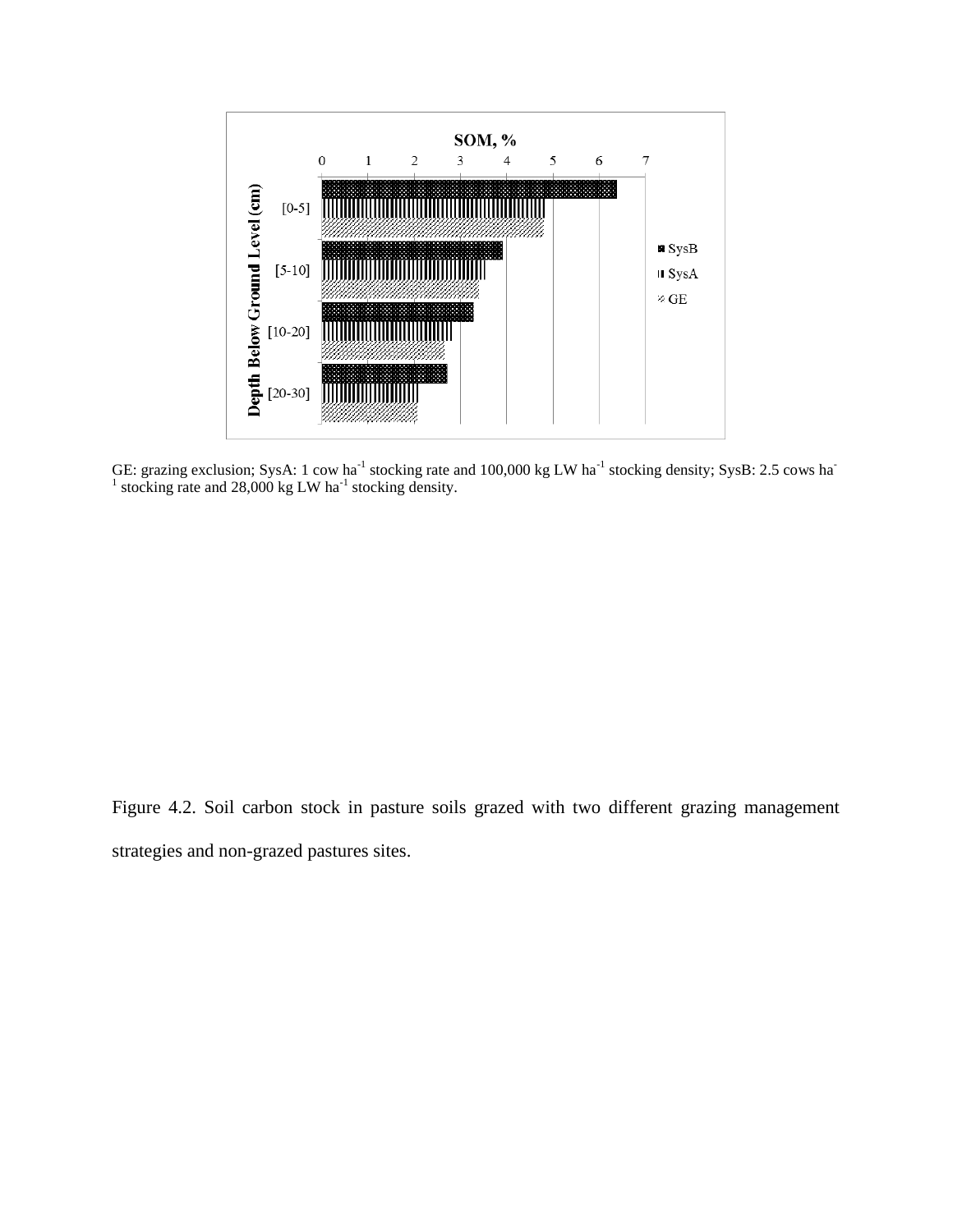

GE: grazing exclusion; SysA: 1 cow ha<sup>-1</sup> stocking rate and 100,000 kg LW ha<sup>-1</sup> stocking density; SysB: 2.5 cows ha<sup>-1</sup> stocking rate and 28,000 kg LW ha<sup>-1</sup> stocking density.

Figure 4.2. Soil carbon stock in pasture soils grazed with two different grazing management strategies and non-grazed pastures sites.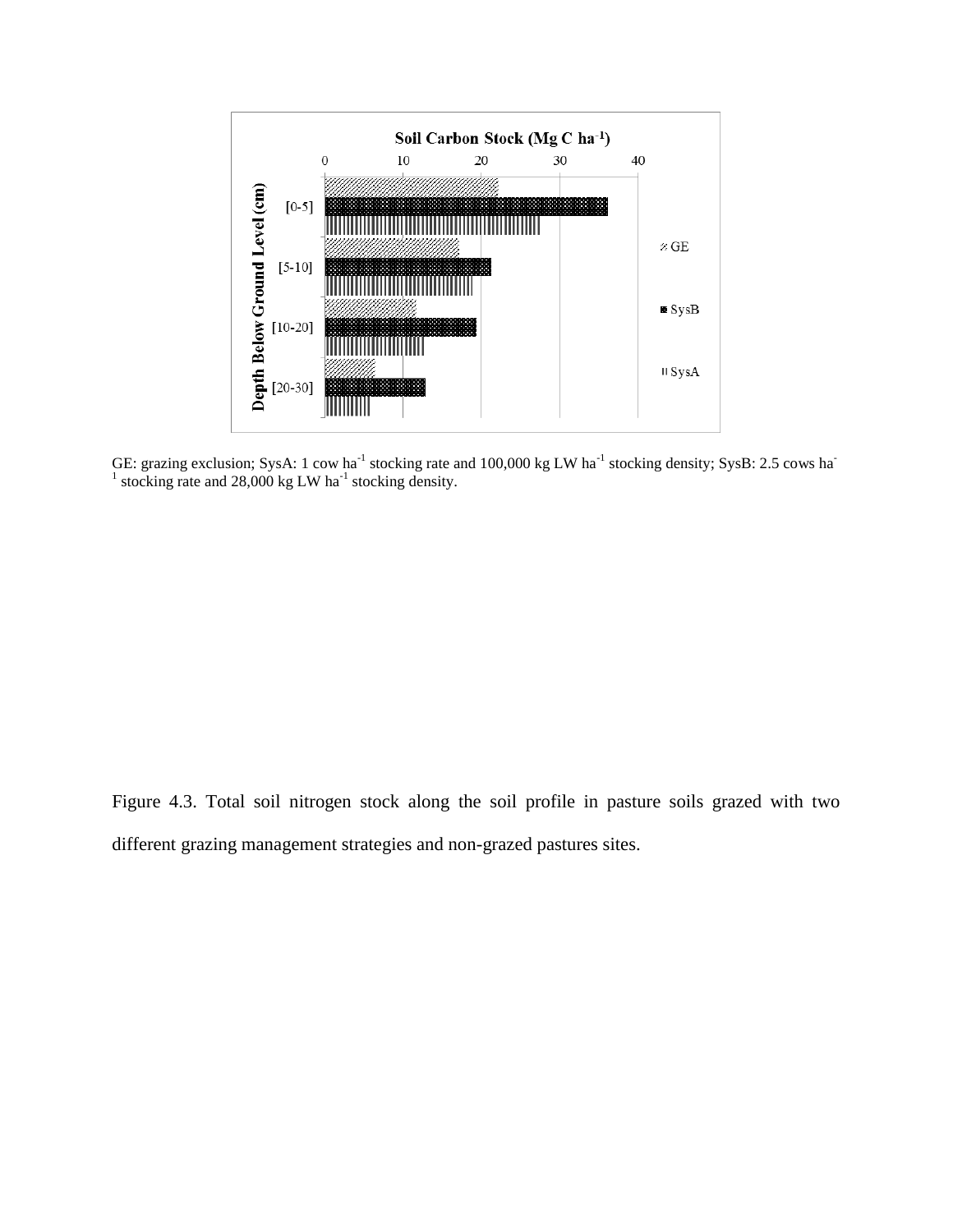

GE: grazing exclusion; SysA: 1 cow ha<sup>-1</sup> stocking rate and 100,000 kg LW ha<sup>-1</sup> stocking density; SysB: 2.5 cows ha<sup>-1</sup> stocking rate and 28,000 kg LW ha<sup>-1</sup> stocking density.

Figure 4.3. Total soil nitrogen stock along the soil profile in pasture soils grazed with two different grazing management strategies and non-grazed pastures sites.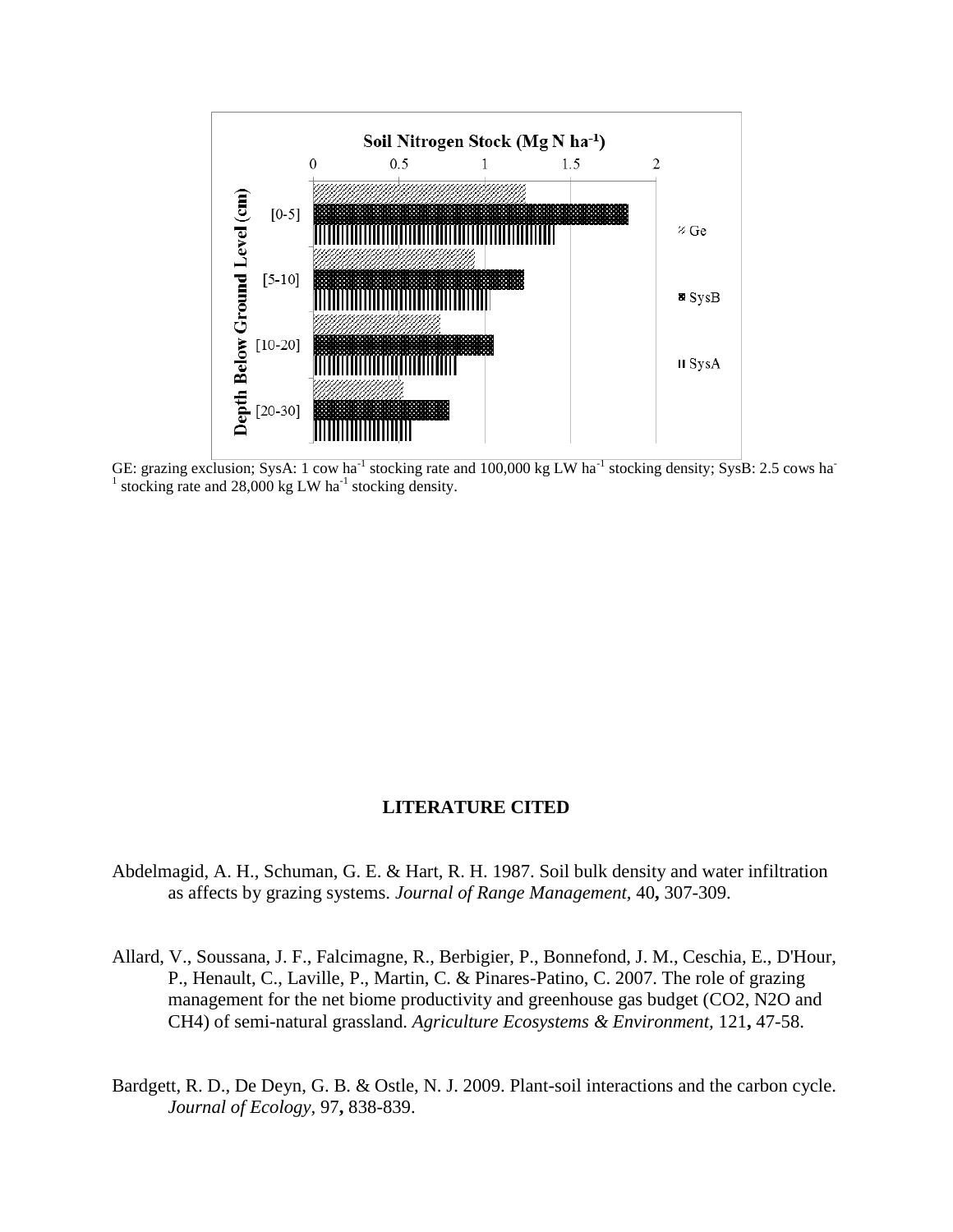

GE: grazing exclusion; SysA: 1 cow ha<sup>-1</sup> stocking rate and 100,000 kg LW ha<sup>-1</sup> stocking density; SysB: 2.5 cows ha<sup>-1</sup> <sup>1</sup> stocking rate and 28,000 kg LW ha<sup>-1</sup> stocking density.

# **LITERATURE CITED**

- Abdelmagid, A. H., Schuman, G. E. & Hart, R. H. 1987. Soil bulk density and water infiltration as affects by grazing systems. *Journal of Range Management,* 40**,** 307-309.
- Allard, V., Soussana, J. F., Falcimagne, R., Berbigier, P., Bonnefond, J. M., Ceschia, E., D'Hour, P., Henault, C., Laville, P., Martin, C. & Pinares-Patino, C. 2007. The role of grazing management for the net biome productivity and greenhouse gas budget (CO2, N2O and CH4) of semi-natural grassland. *Agriculture Ecosystems & Environment,* 121**,** 47-58.
- Bardgett, R. D., De Deyn, G. B. & Ostle, N. J. 2009. Plant-soil interactions and the carbon cycle. *Journal of Ecology,* 97**,** 838-839.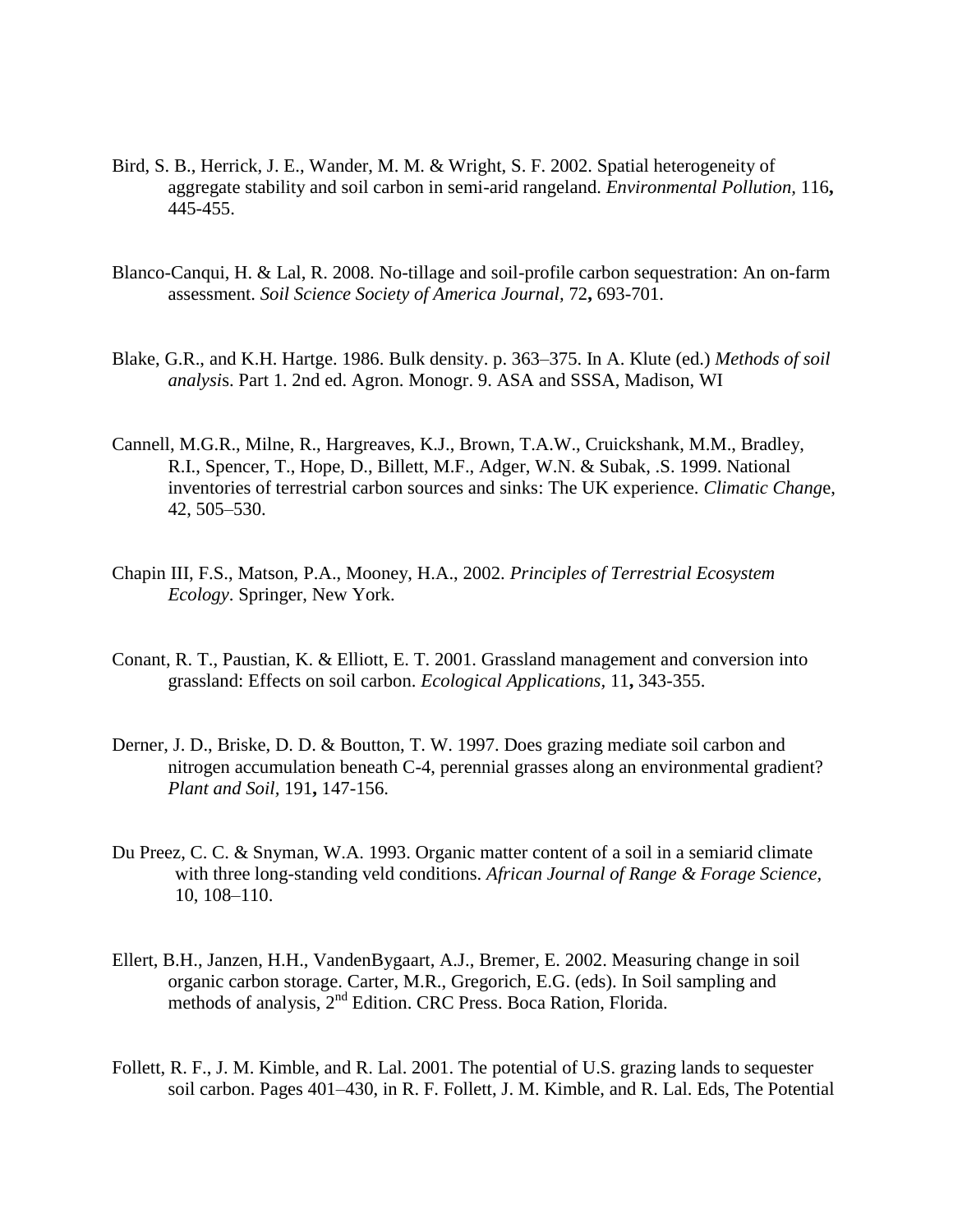- Bird, S. B., Herrick, J. E., Wander, M. M. & Wright, S. F. 2002. Spatial heterogeneity of aggregate stability and soil carbon in semi-arid rangeland. *Environmental Pollution,* 116**,** 445-455.
- Blanco-Canqui, H. & Lal, R. 2008. No-tillage and soil-profile carbon sequestration: An on-farm assessment. *Soil Science Society of America Journal,* 72**,** 693-701.
- Blake, G.R., and K.H. Hartge. 1986. Bulk density. p. 363–375. In A. Klute (ed.) *Methods of soil analysi*s. Part 1. 2nd ed. Agron. Monogr. 9. ASA and SSSA, Madison, WI
- Cannell, M.G.R., Milne, R., Hargreaves, K.J., Brown, T.A.W., Cruickshank, M.M., Bradley, R.I., Spencer, T., Hope, D., Billett, M.F., Adger, W.N. & Subak, .S. 1999. National inventories of terrestrial carbon sources and sinks: The UK experience. *Climatic Chang*e, 42, 505–530.
- Chapin III, F.S., Matson, P.A., Mooney, H.A., 2002. *Principles of Terrestrial Ecosystem Ecology*. Springer, New York.
- Conant, R. T., Paustian, K. & Elliott, E. T. 2001. Grassland management and conversion into grassland: Effects on soil carbon. *Ecological Applications,* 11**,** 343-355.
- Derner, J. D., Briske, D. D. & Boutton, T. W. 1997. Does grazing mediate soil carbon and nitrogen accumulation beneath C-4, perennial grasses along an environmental gradient? *Plant and Soil,* 191**,** 147-156.
- Du Preez, C. C. & Snyman, W.A. 1993. Organic matter content of a soil in a semiarid climate with three long-standing veld conditions. *African Journal of Range & Forage Science,*  10, 108–110.
- Ellert, B.H., Janzen, H.H., VandenBygaart, A.J., Bremer, E. 2002. Measuring change in soil organic carbon storage. Carter, M.R., Gregorich, E.G. (eds). In Soil sampling and methods of analysis, 2<sup>nd</sup> Edition. CRC Press. Boca Ration, Florida.
- Follett, R. F., J. M. Kimble, and R. Lal. 2001. The potential of U.S. grazing lands to sequester soil carbon. Pages 401–430, in R. F. Follett, J. M. Kimble, and R. Lal. Eds, The Potential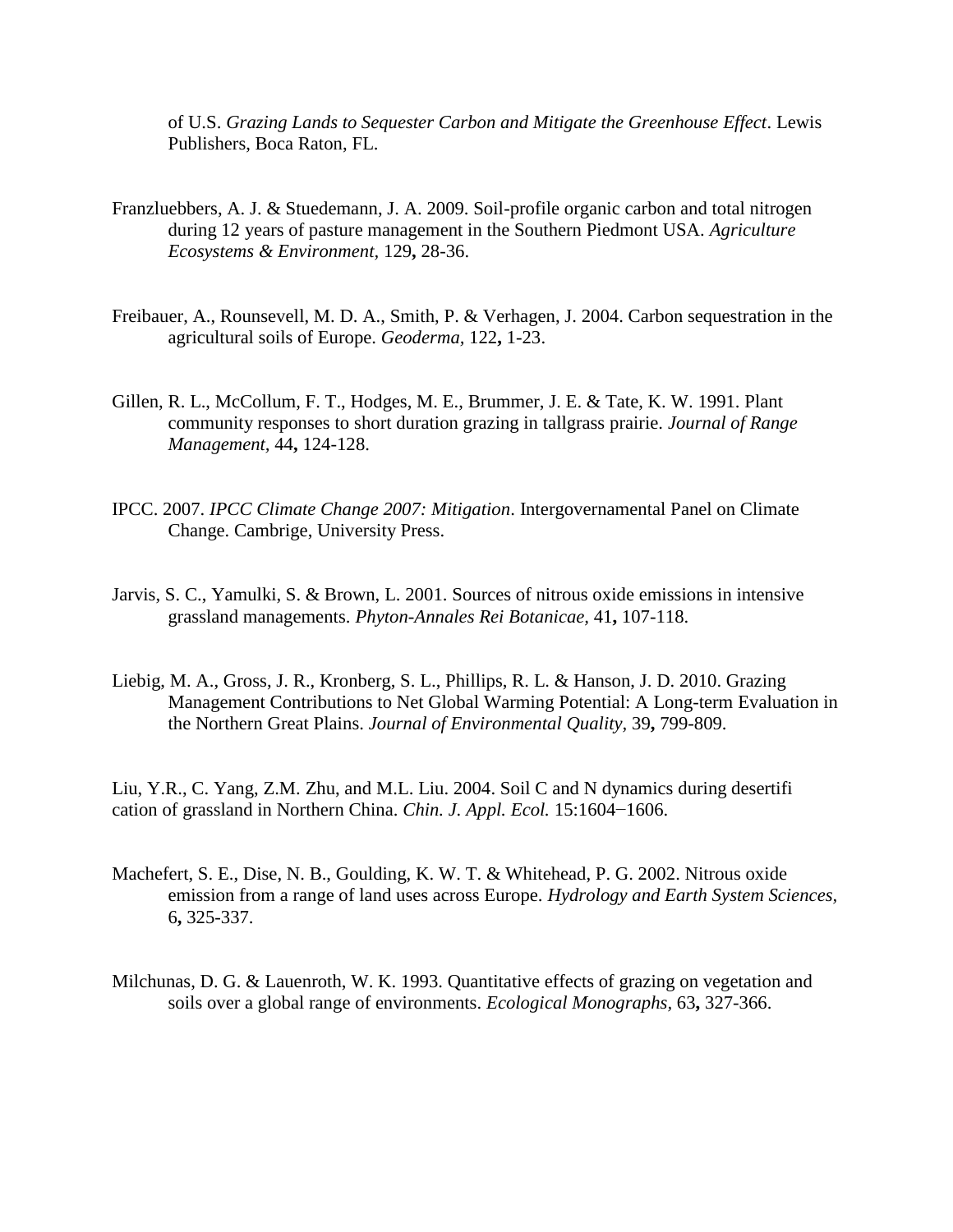of U.S. *Grazing Lands to Sequester Carbon and Mitigate the Greenhouse Effect*. Lewis Publishers, Boca Raton, FL.

- Franzluebbers, A. J. & Stuedemann, J. A. 2009. Soil-profile organic carbon and total nitrogen during 12 years of pasture management in the Southern Piedmont USA. *Agriculture Ecosystems & Environment,* 129**,** 28-36.
- Freibauer, A., Rounsevell, M. D. A., Smith, P. & Verhagen, J. 2004. Carbon sequestration in the agricultural soils of Europe. *Geoderma,* 122**,** 1-23.
- Gillen, R. L., McCollum, F. T., Hodges, M. E., Brummer, J. E. & Tate, K. W. 1991. Plant community responses to short duration grazing in tallgrass prairie. *Journal of Range Management,* 44**,** 124-128.
- IPCC. 2007. *IPCC Climate Change 2007: Mitigation*. Intergovernamental Panel on Climate Change. Cambrige, University Press.
- Jarvis, S. C., Yamulki, S. & Brown, L. 2001. Sources of nitrous oxide emissions in intensive grassland managements. *Phyton-Annales Rei Botanicae,* 41**,** 107-118.
- Liebig, M. A., Gross, J. R., Kronberg, S. L., Phillips, R. L. & Hanson, J. D. 2010. Grazing Management Contributions to Net Global Warming Potential: A Long-term Evaluation in the Northern Great Plains. *Journal of Environmental Quality,* 39**,** 799-809.

Liu, Y.R., C. Yang, Z.M. Zhu, and M.L. Liu. 2004. Soil C and N dynamics during desertifi cation of grassland in Northern China. *Chin. J. Appl. Ecol.* 15:1604−1606.

- Machefert, S. E., Dise, N. B., Goulding, K. W. T. & Whitehead, P. G. 2002. Nitrous oxide emission from a range of land uses across Europe. *Hydrology and Earth System Sciences,* 6**,** 325-337.
- Milchunas, D. G. & Lauenroth, W. K. 1993. Quantitative effects of grazing on vegetation and soils over a global range of environments. *Ecological Monographs,* 63**,** 327-366.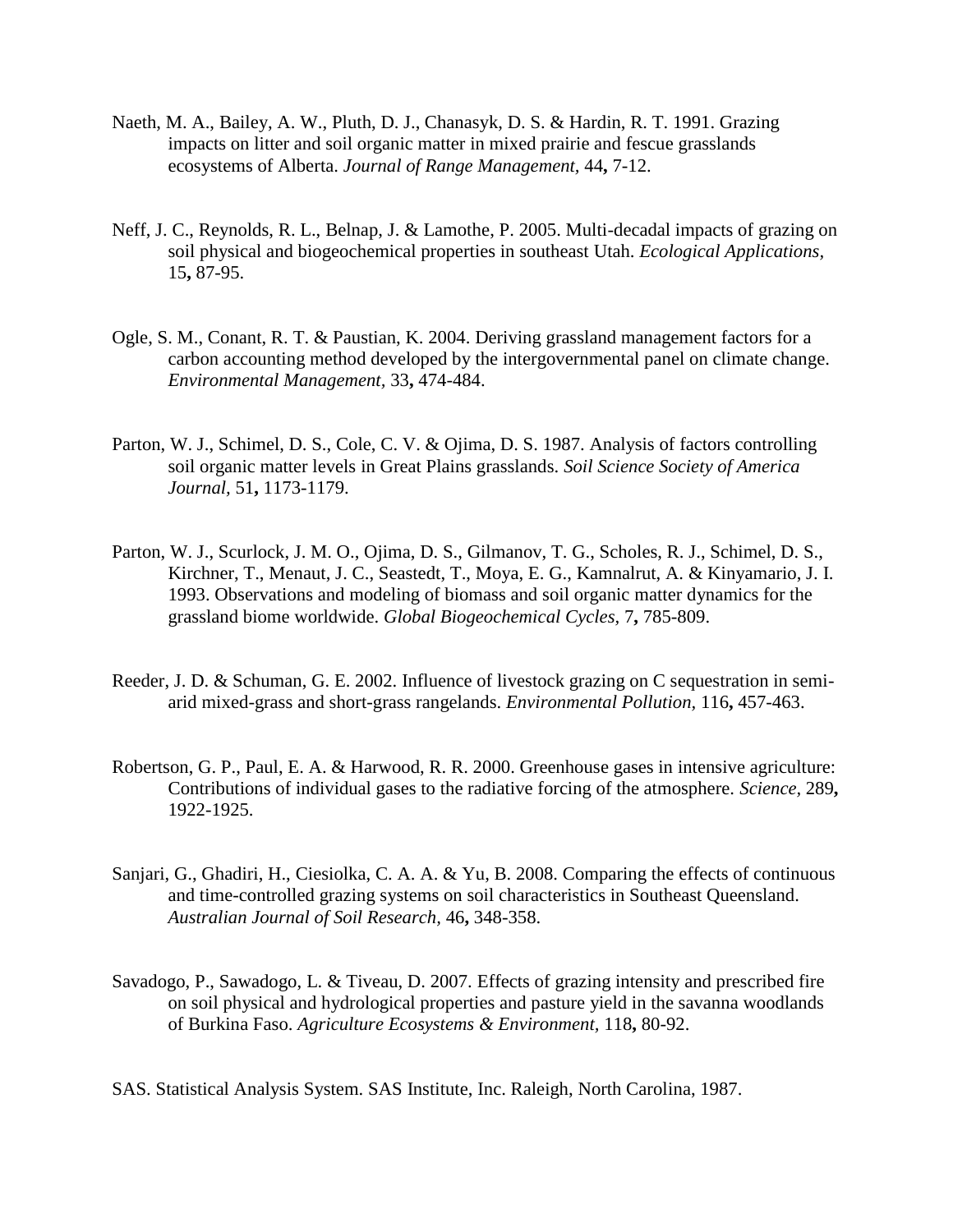- Naeth, M. A., Bailey, A. W., Pluth, D. J., Chanasyk, D. S. & Hardin, R. T. 1991. Grazing impacts on litter and soil organic matter in mixed prairie and fescue grasslands ecosystems of Alberta. *Journal of Range Management,* 44**,** 7-12.
- Neff, J. C., Reynolds, R. L., Belnap, J. & Lamothe, P. 2005. Multi-decadal impacts of grazing on soil physical and biogeochemical properties in southeast Utah. *Ecological Applications,* 15**,** 87-95.
- Ogle, S. M., Conant, R. T. & Paustian, K. 2004. Deriving grassland management factors for a carbon accounting method developed by the intergovernmental panel on climate change. *Environmental Management,* 33**,** 474-484.
- Parton, W. J., Schimel, D. S., Cole, C. V. & Ojima, D. S. 1987. Analysis of factors controlling soil organic matter levels in Great Plains grasslands. *Soil Science Society of America Journal,* 51**,** 1173-1179.
- Parton, W. J., Scurlock, J. M. O., Ojima, D. S., Gilmanov, T. G., Scholes, R. J., Schimel, D. S., Kirchner, T., Menaut, J. C., Seastedt, T., Moya, E. G., Kamnalrut, A. & Kinyamario, J. I. 1993. Observations and modeling of biomass and soil organic matter dynamics for the grassland biome worldwide. *Global Biogeochemical Cycles,* 7**,** 785-809.
- Reeder, J. D. & Schuman, G. E. 2002. Influence of livestock grazing on C sequestration in semiarid mixed-grass and short-grass rangelands. *Environmental Pollution,* 116**,** 457-463.
- Robertson, G. P., Paul, E. A. & Harwood, R. R. 2000. Greenhouse gases in intensive agriculture: Contributions of individual gases to the radiative forcing of the atmosphere. *Science,* 289**,** 1922-1925.
- Sanjari, G., Ghadiri, H., Ciesiolka, C. A. A. & Yu, B. 2008. Comparing the effects of continuous and time-controlled grazing systems on soil characteristics in Southeast Queensland. *Australian Journal of Soil Research,* 46**,** 348-358.
- Savadogo, P., Sawadogo, L. & Tiveau, D. 2007. Effects of grazing intensity and prescribed fire on soil physical and hydrological properties and pasture yield in the savanna woodlands of Burkina Faso. *Agriculture Ecosystems & Environment,* 118**,** 80-92.
- SAS. Statistical Analysis System. SAS Institute, Inc. Raleigh, North Carolina, 1987.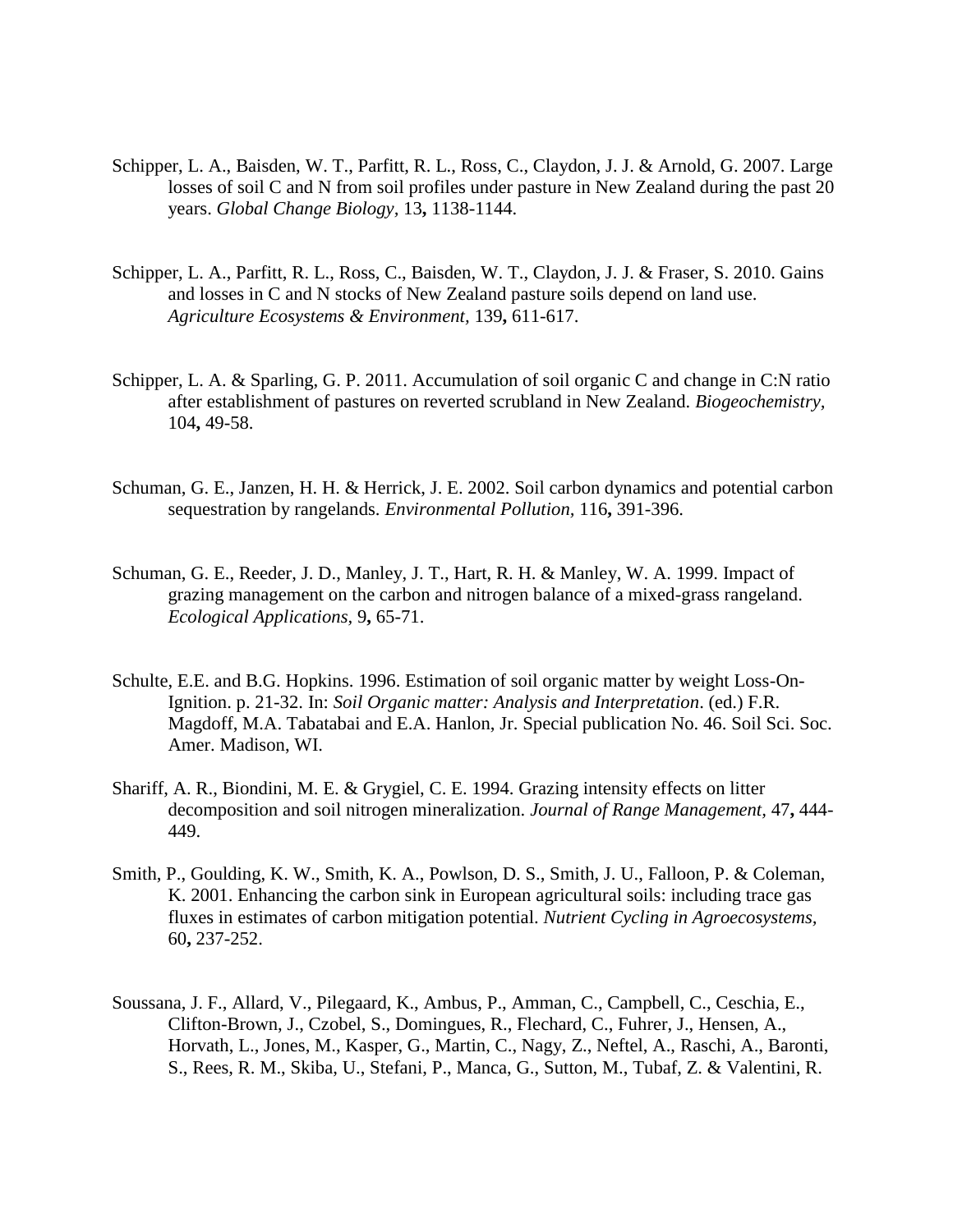- Schipper, L. A., Baisden, W. T., Parfitt, R. L., Ross, C., Claydon, J. J. & Arnold, G. 2007. Large losses of soil C and N from soil profiles under pasture in New Zealand during the past 20 years. *Global Change Biology,* 13**,** 1138-1144.
- Schipper, L. A., Parfitt, R. L., Ross, C., Baisden, W. T., Claydon, J. J. & Fraser, S. 2010. Gains and losses in C and N stocks of New Zealand pasture soils depend on land use. *Agriculture Ecosystems & Environment,* 139**,** 611-617.
- Schipper, L. A. & Sparling, G. P. 2011. Accumulation of soil organic C and change in C:N ratio after establishment of pastures on reverted scrubland in New Zealand. *Biogeochemistry,* 104**,** 49-58.
- Schuman, G. E., Janzen, H. H. & Herrick, J. E. 2002. Soil carbon dynamics and potential carbon sequestration by rangelands. *Environmental Pollution,* 116**,** 391-396.
- Schuman, G. E., Reeder, J. D., Manley, J. T., Hart, R. H. & Manley, W. A. 1999. Impact of grazing management on the carbon and nitrogen balance of a mixed-grass rangeland. *Ecological Applications,* 9**,** 65-71.
- Schulte, E.E. and B.G. Hopkins. 1996. Estimation of soil organic matter by weight Loss-On-Ignition. p. 21-32. In: *Soil Organic matter: Analysis and Interpretation*. (ed.) F.R. Magdoff, M.A. Tabatabai and E.A. Hanlon, Jr. Special publication No. 46. Soil Sci. Soc. Amer. Madison, WI.
- Shariff, A. R., Biondini, M. E. & Grygiel, C. E. 1994. Grazing intensity effects on litter decomposition and soil nitrogen mineralization. *Journal of Range Management,* 47**,** 444- 449.
- Smith, P., Goulding, K. W., Smith, K. A., Powlson, D. S., Smith, J. U., Falloon, P. & Coleman, K. 2001. Enhancing the carbon sink in European agricultural soils: including trace gas fluxes in estimates of carbon mitigation potential. *Nutrient Cycling in Agroecosystems,* 60**,** 237-252.
- Soussana, J. F., Allard, V., Pilegaard, K., Ambus, P., Amman, C., Campbell, C., Ceschia, E., Clifton-Brown, J., Czobel, S., Domingues, R., Flechard, C., Fuhrer, J., Hensen, A., Horvath, L., Jones, M., Kasper, G., Martin, C., Nagy, Z., Neftel, A., Raschi, A., Baronti, S., Rees, R. M., Skiba, U., Stefani, P., Manca, G., Sutton, M., Tubaf, Z. & Valentini, R.